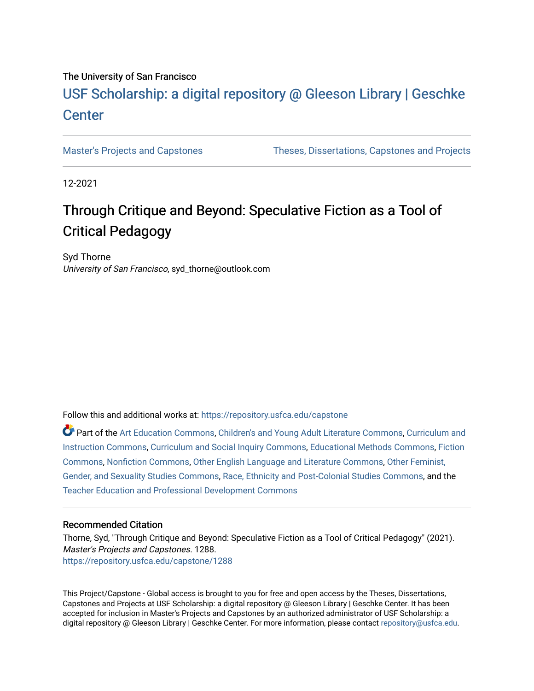## The University of San Francisco

# USF Scholarship: [a digital repository @ Gleeson Libr](https://repository.usfca.edu/)ary | Geschke **Center**

[Master's Projects and Capstones](https://repository.usfca.edu/capstone) [Theses, Dissertations, Capstones and Projects](https://repository.usfca.edu/etd) 

12-2021

# Through Critique and Beyond: Speculative Fiction as a Tool of Critical Pedagogy

Syd Thorne University of San Francisco, syd\_thorne@outlook.com

Follow this and additional works at: [https://repository.usfca.edu/capstone](https://repository.usfca.edu/capstone?utm_source=repository.usfca.edu%2Fcapstone%2F1288&utm_medium=PDF&utm_campaign=PDFCoverPages) 

Part of the [Art Education Commons](http://network.bepress.com/hgg/discipline/1149?utm_source=repository.usfca.edu%2Fcapstone%2F1288&utm_medium=PDF&utm_campaign=PDFCoverPages), [Children's and Young Adult Literature Commons,](http://network.bepress.com/hgg/discipline/1289?utm_source=repository.usfca.edu%2Fcapstone%2F1288&utm_medium=PDF&utm_campaign=PDFCoverPages) [Curriculum and](http://network.bepress.com/hgg/discipline/786?utm_source=repository.usfca.edu%2Fcapstone%2F1288&utm_medium=PDF&utm_campaign=PDFCoverPages) [Instruction Commons](http://network.bepress.com/hgg/discipline/786?utm_source=repository.usfca.edu%2Fcapstone%2F1288&utm_medium=PDF&utm_campaign=PDFCoverPages), [Curriculum and Social Inquiry Commons](http://network.bepress.com/hgg/discipline/1038?utm_source=repository.usfca.edu%2Fcapstone%2F1288&utm_medium=PDF&utm_campaign=PDFCoverPages), [Educational Methods Commons](http://network.bepress.com/hgg/discipline/1227?utm_source=repository.usfca.edu%2Fcapstone%2F1288&utm_medium=PDF&utm_campaign=PDFCoverPages), [Fiction](http://network.bepress.com/hgg/discipline/1151?utm_source=repository.usfca.edu%2Fcapstone%2F1288&utm_medium=PDF&utm_campaign=PDFCoverPages)  [Commons](http://network.bepress.com/hgg/discipline/1151?utm_source=repository.usfca.edu%2Fcapstone%2F1288&utm_medium=PDF&utm_campaign=PDFCoverPages), [Nonfiction Commons](http://network.bepress.com/hgg/discipline/1152?utm_source=repository.usfca.edu%2Fcapstone%2F1288&utm_medium=PDF&utm_campaign=PDFCoverPages), [Other English Language and Literature Commons,](http://network.bepress.com/hgg/discipline/462?utm_source=repository.usfca.edu%2Fcapstone%2F1288&utm_medium=PDF&utm_campaign=PDFCoverPages) [Other Feminist,](http://network.bepress.com/hgg/discipline/562?utm_source=repository.usfca.edu%2Fcapstone%2F1288&utm_medium=PDF&utm_campaign=PDFCoverPages)  [Gender, and Sexuality Studies Commons](http://network.bepress.com/hgg/discipline/562?utm_source=repository.usfca.edu%2Fcapstone%2F1288&utm_medium=PDF&utm_campaign=PDFCoverPages), [Race, Ethnicity and Post-Colonial Studies Commons](http://network.bepress.com/hgg/discipline/566?utm_source=repository.usfca.edu%2Fcapstone%2F1288&utm_medium=PDF&utm_campaign=PDFCoverPages), and the [Teacher Education and Professional Development Commons](http://network.bepress.com/hgg/discipline/803?utm_source=repository.usfca.edu%2Fcapstone%2F1288&utm_medium=PDF&utm_campaign=PDFCoverPages)

### Recommended Citation

Thorne, Syd, "Through Critique and Beyond: Speculative Fiction as a Tool of Critical Pedagogy" (2021). Master's Projects and Capstones. 1288. [https://repository.usfca.edu/capstone/1288](https://repository.usfca.edu/capstone/1288?utm_source=repository.usfca.edu%2Fcapstone%2F1288&utm_medium=PDF&utm_campaign=PDFCoverPages) 

This Project/Capstone - Global access is brought to you for free and open access by the Theses, Dissertations, Capstones and Projects at USF Scholarship: a digital repository @ Gleeson Library | Geschke Center. It has been accepted for inclusion in Master's Projects and Capstones by an authorized administrator of USF Scholarship: a digital repository @ Gleeson Library | Geschke Center. For more information, please contact [repository@usfca.edu.](mailto:repository@usfca.edu)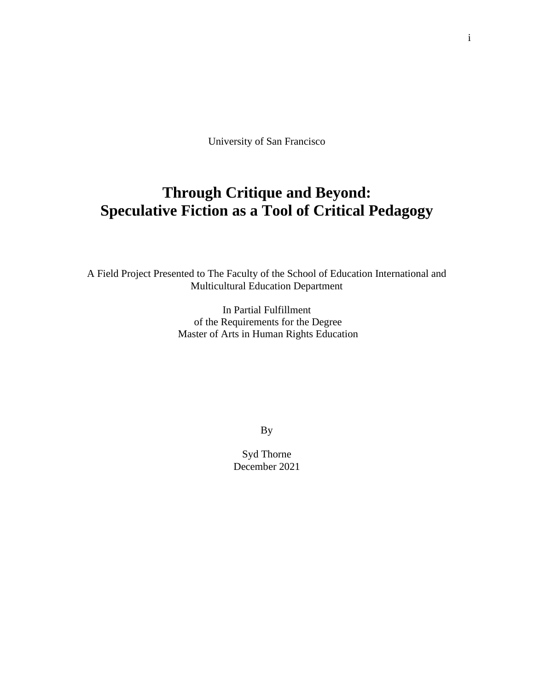University of San Francisco

# **Through Critique and Beyond: Speculative Fiction as a Tool of Critical Pedagogy**

A Field Project Presented to The Faculty of the School of Education International and Multicultural Education Department

> In Partial Fulfillment of the Requirements for the Degree Master of Arts in Human Rights Education

> > By

Syd Thorne December 2021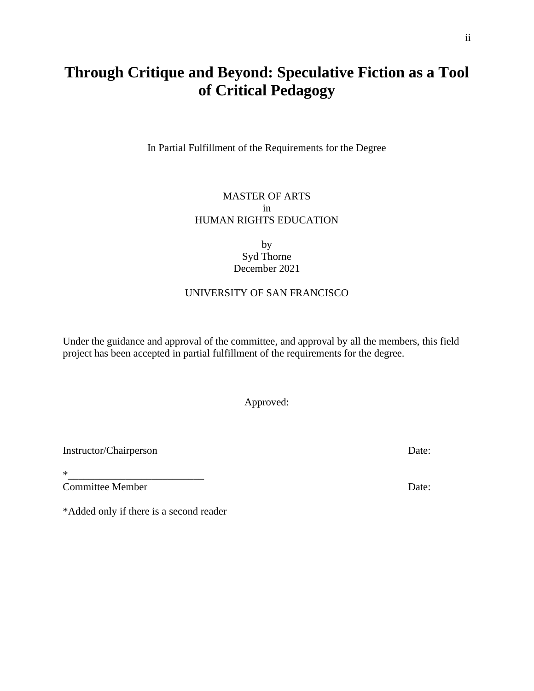# **Through Critique and Beyond: Speculative Fiction as a Tool of Critical Pedagogy**

In Partial Fulfillment of the Requirements for the Degree

## MASTER OF ARTS in HUMAN RIGHTS EDUCATION

## by Syd Thorne December 2021

## UNIVERSITY OF SAN FRANCISCO

Under the guidance and approval of the committee, and approval by all the members, this field project has been accepted in partial fulfillment of the requirements for the degree.

Approved:

Instructor/Chairperson Date:

\*\_\_\_\_\_\_\_\_\_\_\_\_\_\_\_\_\_\_\_\_\_\_\_\_\_\_ Committee Member Date:

\*Added only if there is a second reader

ii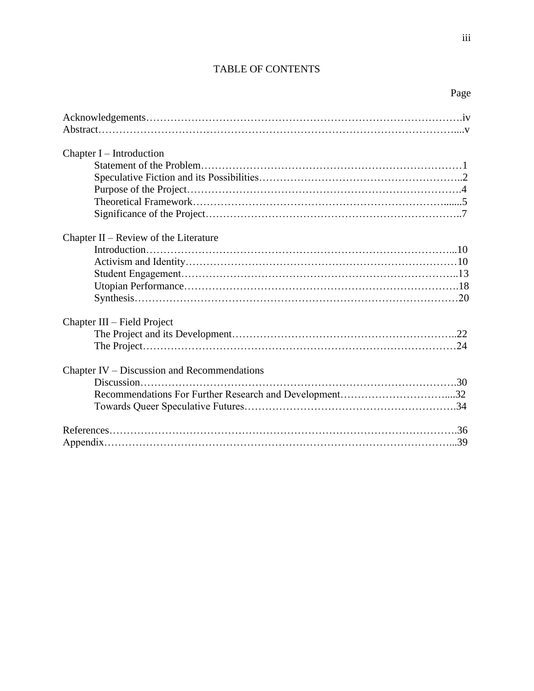# TABLE OF CONTENTS

iii

| Chapter $I$ – Introduction                             |
|--------------------------------------------------------|
|                                                        |
|                                                        |
|                                                        |
|                                                        |
|                                                        |
|                                                        |
| Chapter $II$ – Review of the Literature                |
|                                                        |
|                                                        |
|                                                        |
|                                                        |
|                                                        |
| Chapter III – Field Project                            |
|                                                        |
|                                                        |
| Chapter IV – Discussion and Recommendations            |
|                                                        |
| Recommendations For Further Research and Development32 |
|                                                        |
|                                                        |
|                                                        |
|                                                        |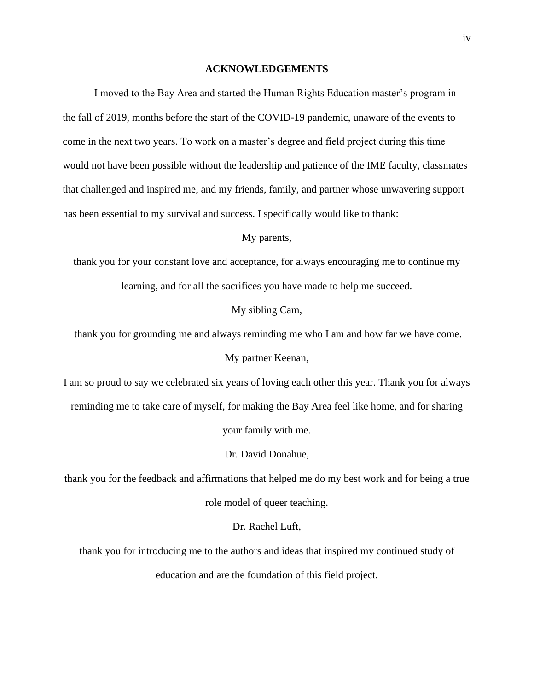#### **ACKNOWLEDGEMENTS**

I moved to the Bay Area and started the Human Rights Education master's program in the fall of 2019, months before the start of the COVID-19 pandemic, unaware of the events to come in the next two years. To work on a master's degree and field project during this time would not have been possible without the leadership and patience of the IME faculty, classmates that challenged and inspired me, and my friends, family, and partner whose unwavering support has been essential to my survival and success. I specifically would like to thank:

My parents,

thank you for your constant love and acceptance, for always encouraging me to continue my learning, and for all the sacrifices you have made to help me succeed.

My sibling Cam,

thank you for grounding me and always reminding me who I am and how far we have come.

My partner Keenan,

I am so proud to say we celebrated six years of loving each other this year. Thank you for always reminding me to take care of myself, for making the Bay Area feel like home, and for sharing

your family with me.

Dr. David Donahue,

thank you for the feedback and affirmations that helped me do my best work and for being a true role model of queer teaching.

Dr. Rachel Luft,

thank you for introducing me to the authors and ideas that inspired my continued study of education and are the foundation of this field project.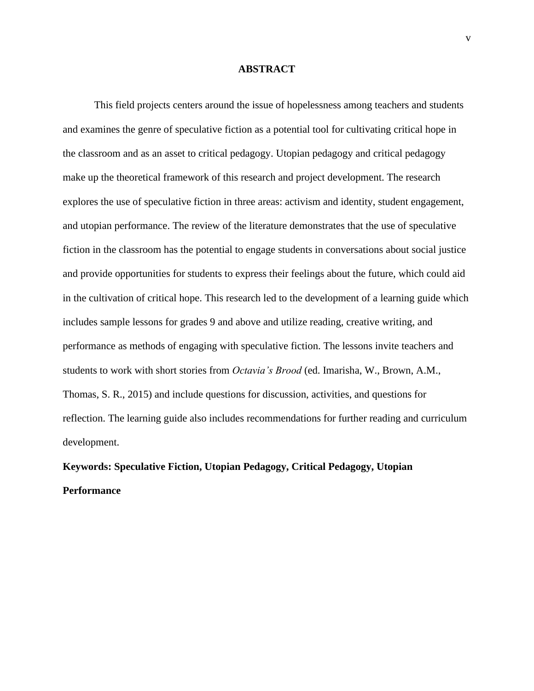#### **ABSTRACT**

This field projects centers around the issue of hopelessness among teachers and students and examines the genre of speculative fiction as a potential tool for cultivating critical hope in the classroom and as an asset to critical pedagogy. Utopian pedagogy and critical pedagogy make up the theoretical framework of this research and project development. The research explores the use of speculative fiction in three areas: activism and identity, student engagement, and utopian performance. The review of the literature demonstrates that the use of speculative fiction in the classroom has the potential to engage students in conversations about social justice and provide opportunities for students to express their feelings about the future, which could aid in the cultivation of critical hope. This research led to the development of a learning guide which includes sample lessons for grades 9 and above and utilize reading, creative writing, and performance as methods of engaging with speculative fiction. The lessons invite teachers and students to work with short stories from *Octavia's Brood* (ed. Imarisha, W., Brown, A.M., Thomas, S. R., 2015) and include questions for discussion, activities, and questions for reflection. The learning guide also includes recommendations for further reading and curriculum development.

# **Keywords: Speculative Fiction, Utopian Pedagogy, Critical Pedagogy, Utopian Performance**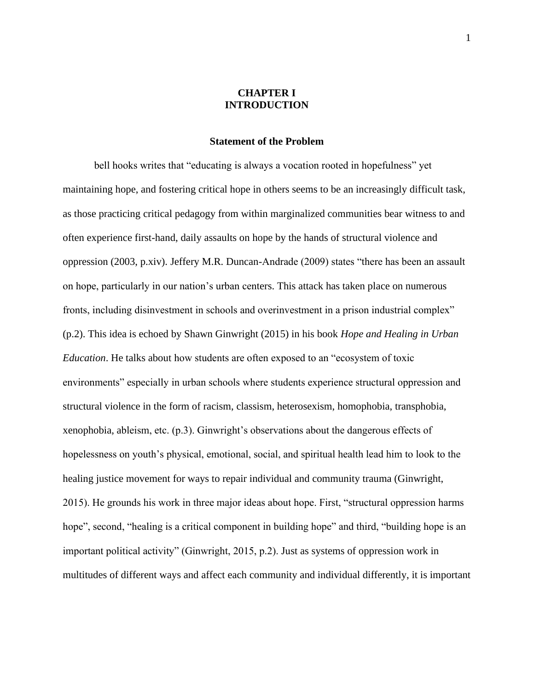## **CHAPTER I INTRODUCTION**

#### **Statement of the Problem**

bell hooks writes that "educating is always a vocation rooted in hopefulness" yet maintaining hope, and fostering critical hope in others seems to be an increasingly difficult task, as those practicing critical pedagogy from within marginalized communities bear witness to and often experience first-hand, daily assaults on hope by the hands of structural violence and oppression (2003, p.xiv). Jeffery M.R. Duncan-Andrade (2009) states "there has been an assault on hope, particularly in our nation's urban centers. This attack has taken place on numerous fronts, including disinvestment in schools and overinvestment in a prison industrial complex" (p.2). This idea is echoed by Shawn Ginwright (2015) in his book *Hope and Healing in Urban Education*. He talks about how students are often exposed to an "ecosystem of toxic environments" especially in urban schools where students experience structural oppression and structural violence in the form of racism, classism, heterosexism, homophobia, transphobia, xenophobia, ableism, etc. (p.3). Ginwright's observations about the dangerous effects of hopelessness on youth's physical, emotional, social, and spiritual health lead him to look to the healing justice movement for ways to repair individual and community trauma (Ginwright, 2015). He grounds his work in three major ideas about hope. First, "structural oppression harms hope", second, "healing is a critical component in building hope" and third, "building hope is an important political activity" (Ginwright, 2015, p.2). Just as systems of oppression work in multitudes of different ways and affect each community and individual differently, it is important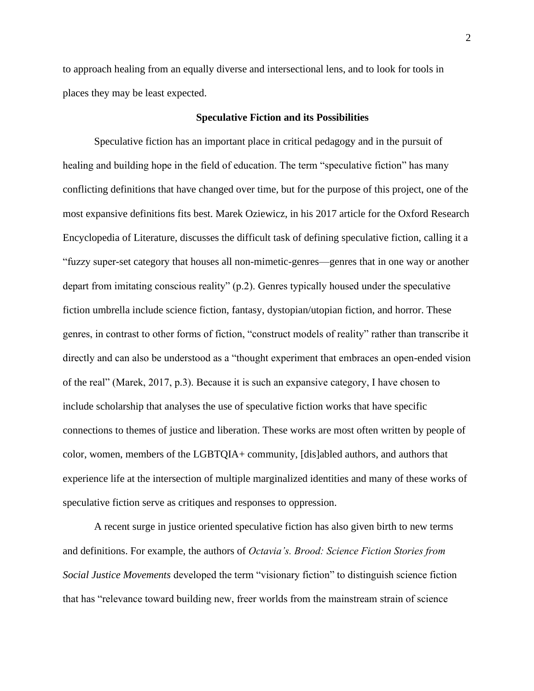to approach healing from an equally diverse and intersectional lens, and to look for tools in places they may be least expected.

#### **Speculative Fiction and its Possibilities**

Speculative fiction has an important place in critical pedagogy and in the pursuit of healing and building hope in the field of education. The term "speculative fiction" has many conflicting definitions that have changed over time, but for the purpose of this project, one of the most expansive definitions fits best. Marek Oziewicz, in his 2017 article for the Oxford Research Encyclopedia of Literature, discusses the difficult task of defining speculative fiction, calling it a "fuzzy super-set category that houses all non-mimetic-genres—genres that in one way or another depart from imitating conscious reality" (p.2). Genres typically housed under the speculative fiction umbrella include science fiction, fantasy, dystopian/utopian fiction, and horror. These genres, in contrast to other forms of fiction, "construct models of reality" rather than transcribe it directly and can also be understood as a "thought experiment that embraces an open-ended vision of the real" (Marek, 2017, p.3). Because it is such an expansive category, I have chosen to include scholarship that analyses the use of speculative fiction works that have specific connections to themes of justice and liberation. These works are most often written by people of color, women, members of the LGBTQIA+ community, [dis]abled authors, and authors that experience life at the intersection of multiple marginalized identities and many of these works of speculative fiction serve as critiques and responses to oppression.

A recent surge in justice oriented speculative fiction has also given birth to new terms and definitions. For example, the authors of *Octavia's. Brood: Science Fiction Stories from Social Justice Movements* developed the term "visionary fiction" to distinguish science fiction that has "relevance toward building new, freer worlds from the mainstream strain of science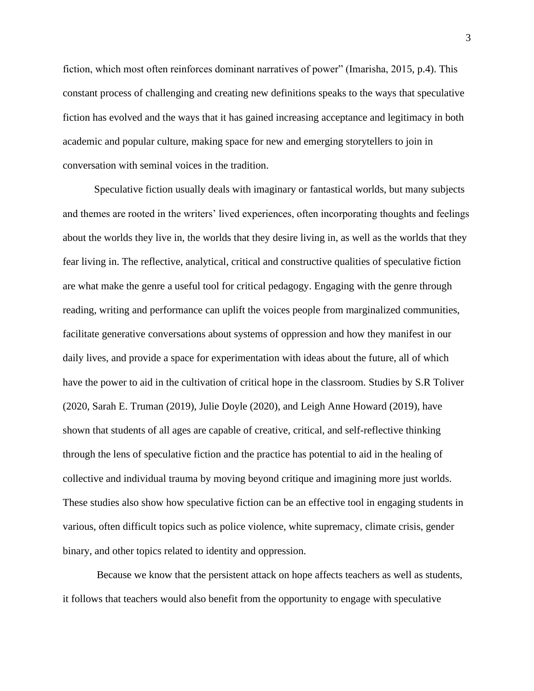fiction, which most often reinforces dominant narratives of power" (Imarisha, 2015, p.4). This constant process of challenging and creating new definitions speaks to the ways that speculative fiction has evolved and the ways that it has gained increasing acceptance and legitimacy in both academic and popular culture, making space for new and emerging storytellers to join in conversation with seminal voices in the tradition.

Speculative fiction usually deals with imaginary or fantastical worlds, but many subjects and themes are rooted in the writers' lived experiences, often incorporating thoughts and feelings about the worlds they live in, the worlds that they desire living in, as well as the worlds that they fear living in. The reflective, analytical, critical and constructive qualities of speculative fiction are what make the genre a useful tool for critical pedagogy. Engaging with the genre through reading, writing and performance can uplift the voices people from marginalized communities, facilitate generative conversations about systems of oppression and how they manifest in our daily lives, and provide a space for experimentation with ideas about the future, all of which have the power to aid in the cultivation of critical hope in the classroom. Studies by S.R Toliver (2020, Sarah E. Truman (2019), Julie Doyle (2020), and Leigh Anne Howard (2019), have shown that students of all ages are capable of creative, critical, and self-reflective thinking through the lens of speculative fiction and the practice has potential to aid in the healing of collective and individual trauma by moving beyond critique and imagining more just worlds. These studies also show how speculative fiction can be an effective tool in engaging students in various, often difficult topics such as police violence, white supremacy, climate crisis, gender binary, and other topics related to identity and oppression.

Because we know that the persistent attack on hope affects teachers as well as students, it follows that teachers would also benefit from the opportunity to engage with speculative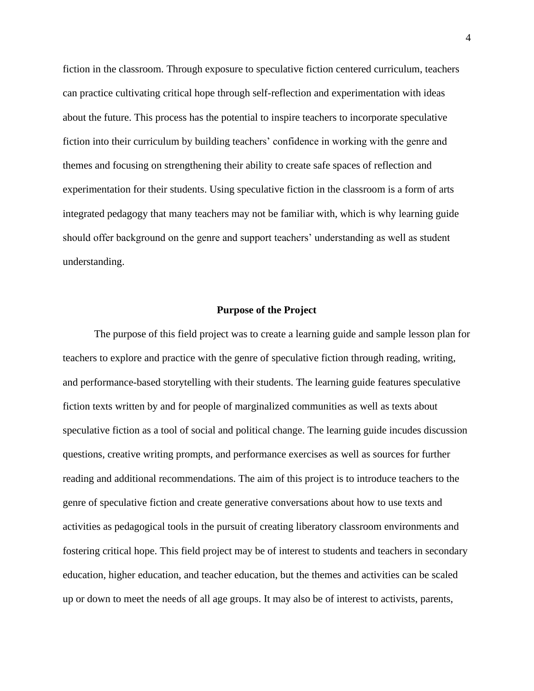fiction in the classroom. Through exposure to speculative fiction centered curriculum, teachers can practice cultivating critical hope through self-reflection and experimentation with ideas about the future. This process has the potential to inspire teachers to incorporate speculative fiction into their curriculum by building teachers' confidence in working with the genre and themes and focusing on strengthening their ability to create safe spaces of reflection and experimentation for their students. Using speculative fiction in the classroom is a form of arts integrated pedagogy that many teachers may not be familiar with, which is why learning guide should offer background on the genre and support teachers' understanding as well as student understanding.

#### **Purpose of the Project**

The purpose of this field project was to create a learning guide and sample lesson plan for teachers to explore and practice with the genre of speculative fiction through reading, writing, and performance-based storytelling with their students. The learning guide features speculative fiction texts written by and for people of marginalized communities as well as texts about speculative fiction as a tool of social and political change. The learning guide incudes discussion questions, creative writing prompts, and performance exercises as well as sources for further reading and additional recommendations. The aim of this project is to introduce teachers to the genre of speculative fiction and create generative conversations about how to use texts and activities as pedagogical tools in the pursuit of creating liberatory classroom environments and fostering critical hope. This field project may be of interest to students and teachers in secondary education, higher education, and teacher education, but the themes and activities can be scaled up or down to meet the needs of all age groups. It may also be of interest to activists, parents,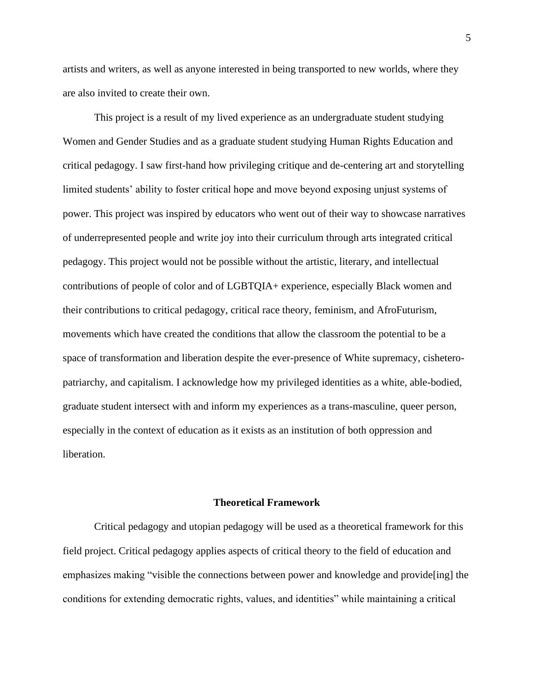artists and writers, as well as anyone interested in being transported to new worlds, where they are also invited to create their own.

This project is a result of my lived experience as an undergraduate student studying Women and Gender Studies and as a graduate student studying Human Rights Education and critical pedagogy. I saw first-hand how privileging critique and de-centering art and storytelling limited students' ability to foster critical hope and move beyond exposing unjust systems of power. This project was inspired by educators who went out of their way to showcase narratives of underrepresented people and write joy into their curriculum through arts integrated critical pedagogy. This project would not be possible without the artistic, literary, and intellectual contributions of people of color and of LGBTQIA+ experience, especially Black women and their contributions to critical pedagogy, critical race theory, feminism, and AfroFuturism, movements which have created the conditions that allow the classroom the potential to be a space of transformation and liberation despite the ever-presence of White supremacy, cisheteropatriarchy, and capitalism. I acknowledge how my privileged identities as a white, able-bodied, graduate student intersect with and inform my experiences as a trans-masculine, queer person, especially in the context of education as it exists as an institution of both oppression and liberation.

#### **Theoretical Framework**

Critical pedagogy and utopian pedagogy will be used as a theoretical framework for this field project. Critical pedagogy applies aspects of critical theory to the field of education and emphasizes making "visible the connections between power and knowledge and provide[ing] the conditions for extending democratic rights, values, and identities" while maintaining a critical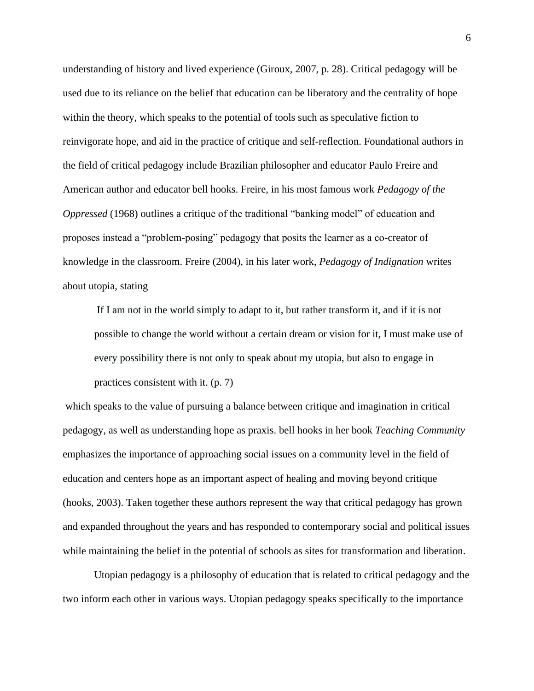understanding of history and lived experience (Giroux, 2007, p. 28). Critical pedagogy will be used due to its reliance on the belief that education can be liberatory and the centrality of hope within the theory, which speaks to the potential of tools such as speculative fiction to reinvigorate hope, and aid in the practice of critique and self-reflection. Foundational authors in the field of critical pedagogy include Brazilian philosopher and educator Paulo Freire and American author and educator bell hooks. Freire, in his most famous work *Pedagogy of the Oppressed* (1968) outlines a critique of the traditional "banking model" of education and proposes instead a "problem-posing" pedagogy that posits the learner as a co-creator of knowledge in the classroom. Freire (2004), in his later work, *Pedagogy of Indignation* writes about utopia, stating

If I am not in the world simply to adapt to it, but rather transform it, and if it is not possible to change the world without a certain dream or vision for it, I must make use of every possibility there is not only to speak about my utopia, but also to engage in practices consistent with it. (p. 7)

which speaks to the value of pursuing a balance between critique and imagination in critical pedagogy, as well as understanding hope as praxis. bell hooks in her book *Teaching Community*  emphasizes the importance of approaching social issues on a community level in the field of education and centers hope as an important aspect of healing and moving beyond critique (hooks, 2003). Taken together these authors represent the way that critical pedagogy has grown and expanded throughout the years and has responded to contemporary social and political issues while maintaining the belief in the potential of schools as sites for transformation and liberation.

Utopian pedagogy is a philosophy of education that is related to critical pedagogy and the two inform each other in various ways. Utopian pedagogy speaks specifically to the importance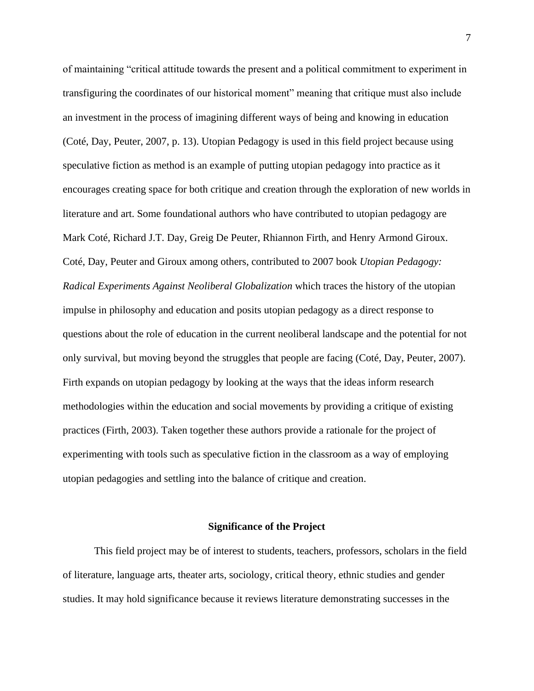of maintaining "critical attitude towards the present and a political commitment to experiment in transfiguring the coordinates of our historical moment" meaning that critique must also include an investment in the process of imagining different ways of being and knowing in education (Coté, Day, Peuter, 2007, p. 13). Utopian Pedagogy is used in this field project because using speculative fiction as method is an example of putting utopian pedagogy into practice as it encourages creating space for both critique and creation through the exploration of new worlds in literature and art. Some foundational authors who have contributed to utopian pedagogy are Mark Coté, Richard J.T. Day, Greig De Peuter, Rhiannon Firth, and Henry Armond Giroux. Coté, Day, Peuter and Giroux among others, contributed to 2007 book *Utopian Pedagogy: Radical Experiments Against Neoliberal Globalization* which traces the history of the utopian impulse in philosophy and education and posits utopian pedagogy as a direct response to questions about the role of education in the current neoliberal landscape and the potential for not only survival, but moving beyond the struggles that people are facing (Coté, Day, Peuter, 2007). Firth expands on utopian pedagogy by looking at the ways that the ideas inform research methodologies within the education and social movements by providing a critique of existing practices (Firth, 2003). Taken together these authors provide a rationale for the project of experimenting with tools such as speculative fiction in the classroom as a way of employing utopian pedagogies and settling into the balance of critique and creation.

#### **Significance of the Project**

This field project may be of interest to students, teachers, professors, scholars in the field of literature, language arts, theater arts, sociology, critical theory, ethnic studies and gender studies. It may hold significance because it reviews literature demonstrating successes in the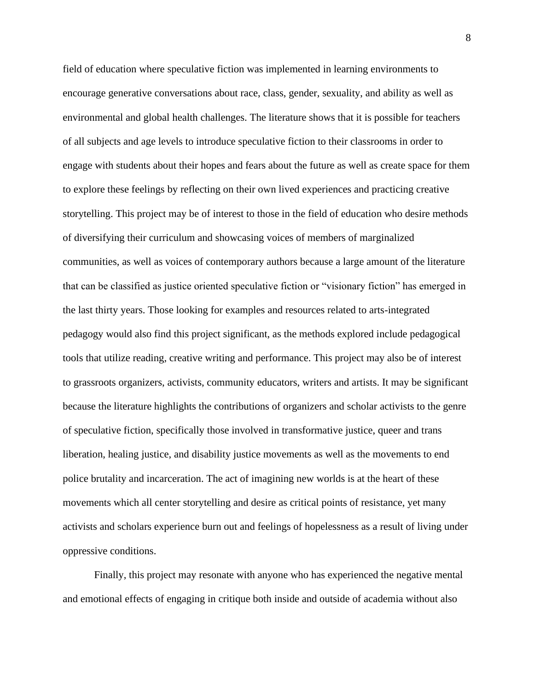field of education where speculative fiction was implemented in learning environments to encourage generative conversations about race, class, gender, sexuality, and ability as well as environmental and global health challenges. The literature shows that it is possible for teachers of all subjects and age levels to introduce speculative fiction to their classrooms in order to engage with students about their hopes and fears about the future as well as create space for them to explore these feelings by reflecting on their own lived experiences and practicing creative storytelling. This project may be of interest to those in the field of education who desire methods of diversifying their curriculum and showcasing voices of members of marginalized communities, as well as voices of contemporary authors because a large amount of the literature that can be classified as justice oriented speculative fiction or "visionary fiction" has emerged in the last thirty years. Those looking for examples and resources related to arts-integrated pedagogy would also find this project significant, as the methods explored include pedagogical tools that utilize reading, creative writing and performance. This project may also be of interest to grassroots organizers, activists, community educators, writers and artists. It may be significant because the literature highlights the contributions of organizers and scholar activists to the genre of speculative fiction, specifically those involved in transformative justice, queer and trans liberation, healing justice, and disability justice movements as well as the movements to end police brutality and incarceration. The act of imagining new worlds is at the heart of these movements which all center storytelling and desire as critical points of resistance, yet many activists and scholars experience burn out and feelings of hopelessness as a result of living under oppressive conditions.

Finally, this project may resonate with anyone who has experienced the negative mental and emotional effects of engaging in critique both inside and outside of academia without also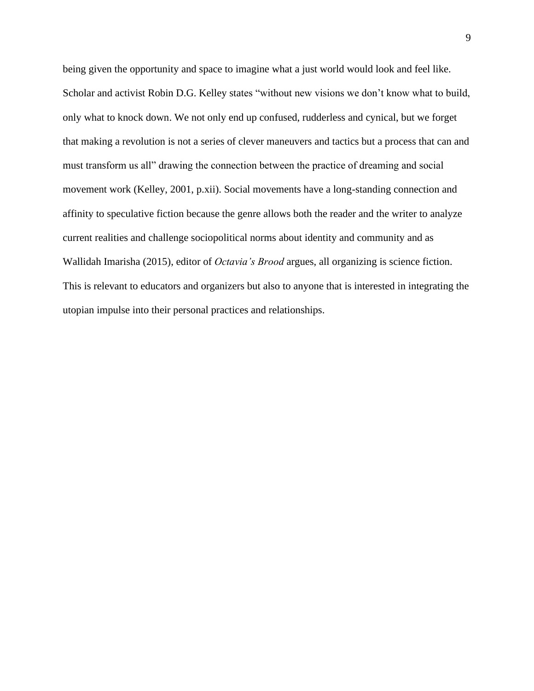being given the opportunity and space to imagine what a just world would look and feel like. Scholar and activist Robin D.G. Kelley states "without new visions we don't know what to build, only what to knock down. We not only end up confused, rudderless and cynical, but we forget that making a revolution is not a series of clever maneuvers and tactics but a process that can and must transform us all" drawing the connection between the practice of dreaming and social movement work (Kelley, 2001, p.xii). Social movements have a long-standing connection and affinity to speculative fiction because the genre allows both the reader and the writer to analyze current realities and challenge sociopolitical norms about identity and community and as Wallidah Imarisha (2015), editor of *Octavia's Brood* argues, all organizing is science fiction. This is relevant to educators and organizers but also to anyone that is interested in integrating the utopian impulse into their personal practices and relationships.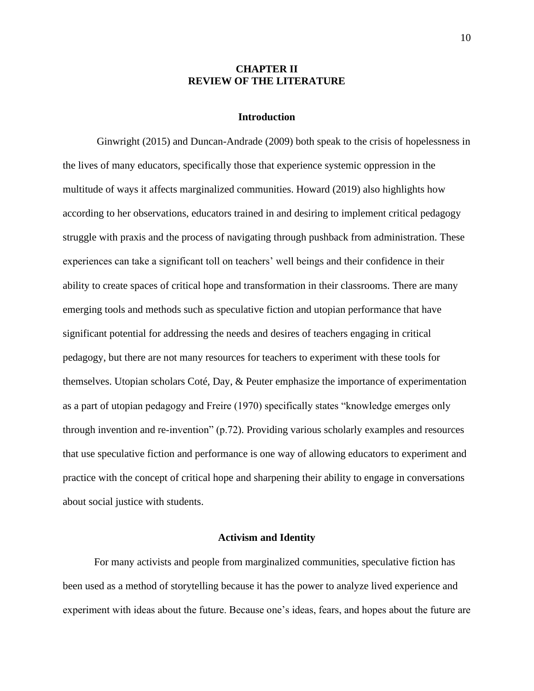### **CHAPTER II REVIEW OF THE LITERATURE**

### **Introduction**

Ginwright (2015) and Duncan-Andrade (2009) both speak to the crisis of hopelessness in the lives of many educators, specifically those that experience systemic oppression in the multitude of ways it affects marginalized communities. Howard (2019) also highlights how according to her observations, educators trained in and desiring to implement critical pedagogy struggle with praxis and the process of navigating through pushback from administration. These experiences can take a significant toll on teachers' well beings and their confidence in their ability to create spaces of critical hope and transformation in their classrooms. There are many emerging tools and methods such as speculative fiction and utopian performance that have significant potential for addressing the needs and desires of teachers engaging in critical pedagogy, but there are not many resources for teachers to experiment with these tools for themselves. Utopian scholars Coté, Day, & Peuter emphasize the importance of experimentation as a part of utopian pedagogy and Freire (1970) specifically states "knowledge emerges only through invention and re-invention" (p.72). Providing various scholarly examples and resources that use speculative fiction and performance is one way of allowing educators to experiment and practice with the concept of critical hope and sharpening their ability to engage in conversations about social justice with students.

#### **Activism and Identity**

For many activists and people from marginalized communities, speculative fiction has been used as a method of storytelling because it has the power to analyze lived experience and experiment with ideas about the future. Because one's ideas, fears, and hopes about the future are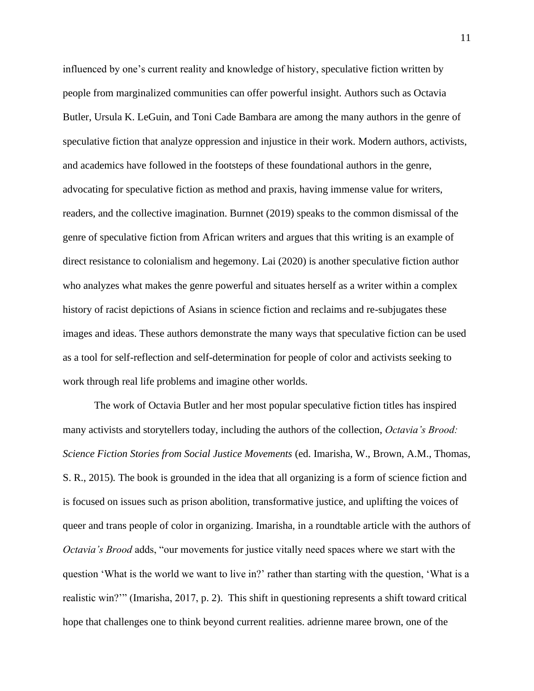influenced by one's current reality and knowledge of history, speculative fiction written by people from marginalized communities can offer powerful insight. Authors such as Octavia Butler, Ursula K. LeGuin, and Toni Cade Bambara are among the many authors in the genre of speculative fiction that analyze oppression and injustice in their work. Modern authors, activists, and academics have followed in the footsteps of these foundational authors in the genre, advocating for speculative fiction as method and praxis, having immense value for writers, readers, and the collective imagination. Burnnet (2019) speaks to the common dismissal of the genre of speculative fiction from African writers and argues that this writing is an example of direct resistance to colonialism and hegemony. Lai (2020) is another speculative fiction author who analyzes what makes the genre powerful and situates herself as a writer within a complex history of racist depictions of Asians in science fiction and reclaims and re-subjugates these images and ideas. These authors demonstrate the many ways that speculative fiction can be used as a tool for self-reflection and self-determination for people of color and activists seeking to work through real life problems and imagine other worlds.

The work of Octavia Butler and her most popular speculative fiction titles has inspired many activists and storytellers today, including the authors of the collection, *Octavia's Brood: Science Fiction Stories from Social Justice Movements* (ed. Imarisha, W., Brown, A.M., Thomas, S. R., 2015)*.* The book is grounded in the idea that all organizing is a form of science fiction and is focused on issues such as prison abolition, transformative justice, and uplifting the voices of queer and trans people of color in organizing. Imarisha, in a roundtable article with the authors of *Octavia's Brood* adds, "our movements for justice vitally need spaces where we start with the question 'What is the world we want to live in?' rather than starting with the question, 'What is a realistic win?'" (Imarisha, 2017, p. 2). This shift in questioning represents a shift toward critical hope that challenges one to think beyond current realities. adrienne maree brown, one of the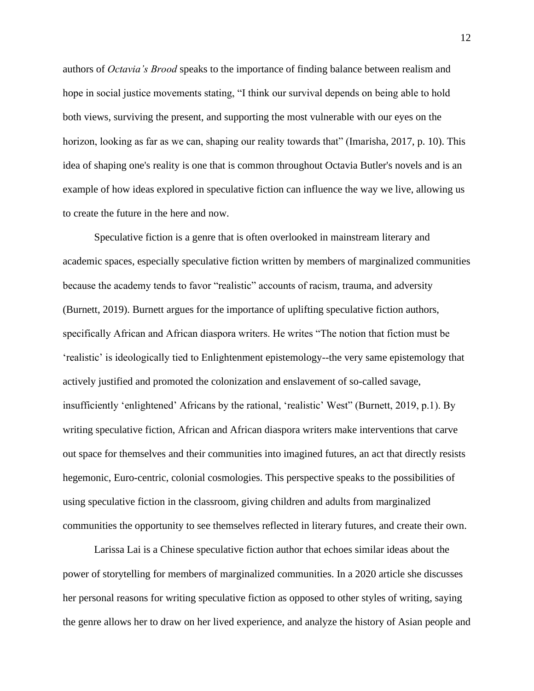authors of *Octavia's Brood* speaks to the importance of finding balance between realism and hope in social justice movements stating, "I think our survival depends on being able to hold both views, surviving the present, and supporting the most vulnerable with our eyes on the horizon, looking as far as we can, shaping our reality towards that" (Imarisha, 2017, p. 10). This idea of shaping one's reality is one that is common throughout Octavia Butler's novels and is an example of how ideas explored in speculative fiction can influence the way we live, allowing us to create the future in the here and now.

 Speculative fiction is a genre that is often overlooked in mainstream literary and academic spaces, especially speculative fiction written by members of marginalized communities because the academy tends to favor "realistic" accounts of racism, trauma, and adversity (Burnett, 2019). Burnett argues for the importance of uplifting speculative fiction authors, specifically African and African diaspora writers. He writes "The notion that fiction must be 'realistic' is ideologically tied to Enlightenment epistemology--the very same epistemology that actively justified and promoted the colonization and enslavement of so-called savage, insufficiently 'enlightened' Africans by the rational, 'realistic' West" (Burnett, 2019, p.1). By writing speculative fiction, African and African diaspora writers make interventions that carve out space for themselves and their communities into imagined futures, an act that directly resists hegemonic, Euro-centric, colonial cosmologies. This perspective speaks to the possibilities of using speculative fiction in the classroom, giving children and adults from marginalized communities the opportunity to see themselves reflected in literary futures, and create their own.

 Larissa Lai is a Chinese speculative fiction author that echoes similar ideas about the power of storytelling for members of marginalized communities. In a 2020 article she discusses her personal reasons for writing speculative fiction as opposed to other styles of writing, saying the genre allows her to draw on her lived experience, and analyze the history of Asian people and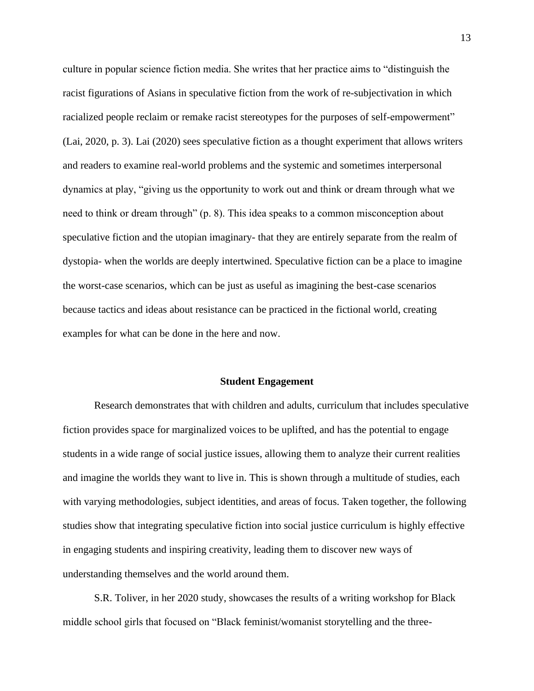culture in popular science fiction media. She writes that her practice aims to "distinguish the racist figurations of Asians in speculative fiction from the work of re-subjectivation in which racialized people reclaim or remake racist stereotypes for the purposes of self-empowerment" (Lai, 2020, p. 3). Lai (2020) sees speculative fiction as a thought experiment that allows writers and readers to examine real-world problems and the systemic and sometimes interpersonal dynamics at play, "giving us the opportunity to work out and think or dream through what we need to think or dream through" (p. 8). This idea speaks to a common misconception about speculative fiction and the utopian imaginary- that they are entirely separate from the realm of dystopia- when the worlds are deeply intertwined. Speculative fiction can be a place to imagine the worst-case scenarios, which can be just as useful as imagining the best-case scenarios because tactics and ideas about resistance can be practiced in the fictional world, creating examples for what can be done in the here and now.

#### **Student Engagement**

Research demonstrates that with children and adults, curriculum that includes speculative fiction provides space for marginalized voices to be uplifted, and has the potential to engage students in a wide range of social justice issues, allowing them to analyze their current realities and imagine the worlds they want to live in. This is shown through a multitude of studies, each with varying methodologies, subject identities, and areas of focus. Taken together, the following studies show that integrating speculative fiction into social justice curriculum is highly effective in engaging students and inspiring creativity, leading them to discover new ways of understanding themselves and the world around them.

S.R. Toliver, in her 2020 study, showcases the results of a writing workshop for Black middle school girls that focused on "Black feminist/womanist storytelling and the three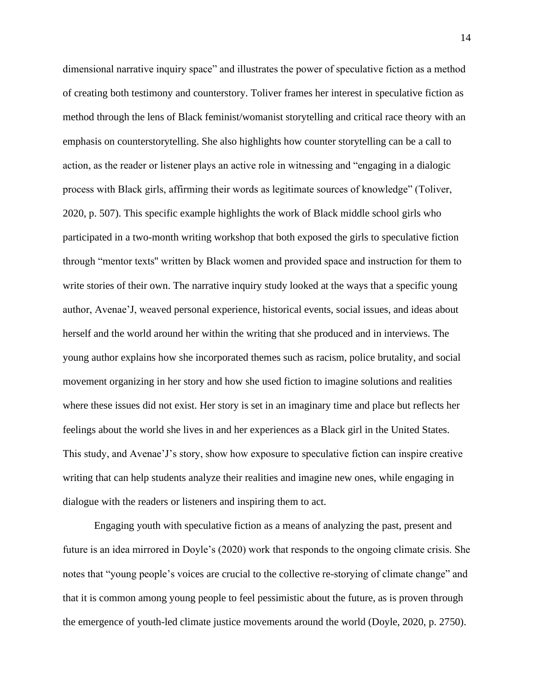dimensional narrative inquiry space" and illustrates the power of speculative fiction as a method of creating both testimony and counterstory. Toliver frames her interest in speculative fiction as method through the lens of Black feminist/womanist storytelling and critical race theory with an emphasis on counterstorytelling. She also highlights how counter storytelling can be a call to action, as the reader or listener plays an active role in witnessing and "engaging in a dialogic process with Black girls, affirming their words as legitimate sources of knowledge" (Toliver, 2020, p. 507). This specific example highlights the work of Black middle school girls who participated in a two-month writing workshop that both exposed the girls to speculative fiction through "mentor texts'' written by Black women and provided space and instruction for them to write stories of their own. The narrative inquiry study looked at the ways that a specific young author, Avenae'J, weaved personal experience, historical events, social issues, and ideas about herself and the world around her within the writing that she produced and in interviews. The young author explains how she incorporated themes such as racism, police brutality, and social movement organizing in her story and how she used fiction to imagine solutions and realities where these issues did not exist. Her story is set in an imaginary time and place but reflects her feelings about the world she lives in and her experiences as a Black girl in the United States. This study, and Avenae'J's story, show how exposure to speculative fiction can inspire creative writing that can help students analyze their realities and imagine new ones, while engaging in dialogue with the readers or listeners and inspiring them to act.

Engaging youth with speculative fiction as a means of analyzing the past, present and future is an idea mirrored in Doyle's (2020) work that responds to the ongoing climate crisis. She notes that "young people's voices are crucial to the collective re-storying of climate change" and that it is common among young people to feel pessimistic about the future, as is proven through the emergence of youth-led climate justice movements around the world (Doyle, 2020, p. 2750).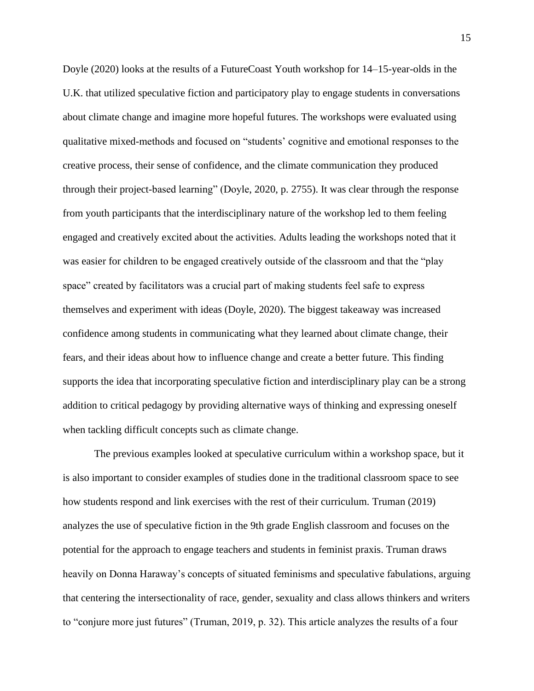Doyle (2020) looks at the results of a FutureCoast Youth workshop for 14–15-year-olds in the U.K. that utilized speculative fiction and participatory play to engage students in conversations about climate change and imagine more hopeful futures. The workshops were evaluated using qualitative mixed-methods and focused on "students' cognitive and emotional responses to the creative process, their sense of confidence, and the climate communication they produced through their project-based learning" (Doyle, 2020, p. 2755). It was clear through the response from youth participants that the interdisciplinary nature of the workshop led to them feeling engaged and creatively excited about the activities. Adults leading the workshops noted that it was easier for children to be engaged creatively outside of the classroom and that the "play space" created by facilitators was a crucial part of making students feel safe to express themselves and experiment with ideas (Doyle, 2020). The biggest takeaway was increased confidence among students in communicating what they learned about climate change, their fears, and their ideas about how to influence change and create a better future. This finding supports the idea that incorporating speculative fiction and interdisciplinary play can be a strong addition to critical pedagogy by providing alternative ways of thinking and expressing oneself when tackling difficult concepts such as climate change.

The previous examples looked at speculative curriculum within a workshop space, but it is also important to consider examples of studies done in the traditional classroom space to see how students respond and link exercises with the rest of their curriculum. Truman (2019) analyzes the use of speculative fiction in the 9th grade English classroom and focuses on the potential for the approach to engage teachers and students in feminist praxis. Truman draws heavily on Donna Haraway's concepts of situated feminisms and speculative fabulations, arguing that centering the intersectionality of race, gender, sexuality and class allows thinkers and writers to "conjure more just futures" (Truman, 2019, p. 32). This article analyzes the results of a four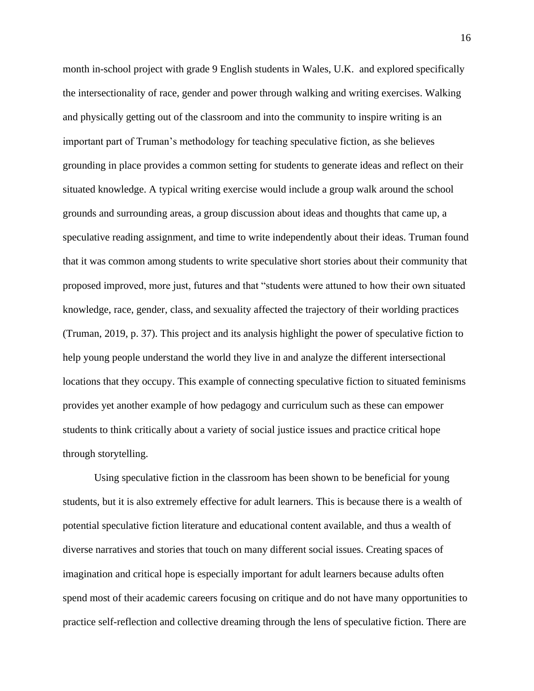month in-school project with grade 9 English students in Wales, U.K. and explored specifically the intersectionality of race, gender and power through walking and writing exercises. Walking and physically getting out of the classroom and into the community to inspire writing is an important part of Truman's methodology for teaching speculative fiction, as she believes grounding in place provides a common setting for students to generate ideas and reflect on their situated knowledge. A typical writing exercise would include a group walk around the school grounds and surrounding areas, a group discussion about ideas and thoughts that came up, a speculative reading assignment, and time to write independently about their ideas. Truman found that it was common among students to write speculative short stories about their community that proposed improved, more just, futures and that "students were attuned to how their own situated knowledge, race, gender, class, and sexuality affected the trajectory of their worlding practices (Truman, 2019, p. 37). This project and its analysis highlight the power of speculative fiction to help young people understand the world they live in and analyze the different intersectional locations that they occupy. This example of connecting speculative fiction to situated feminisms provides yet another example of how pedagogy and curriculum such as these can empower students to think critically about a variety of social justice issues and practice critical hope through storytelling.

 Using speculative fiction in the classroom has been shown to be beneficial for young students, but it is also extremely effective for adult learners. This is because there is a wealth of potential speculative fiction literature and educational content available, and thus a wealth of diverse narratives and stories that touch on many different social issues. Creating spaces of imagination and critical hope is especially important for adult learners because adults often spend most of their academic careers focusing on critique and do not have many opportunities to practice self-reflection and collective dreaming through the lens of speculative fiction. There are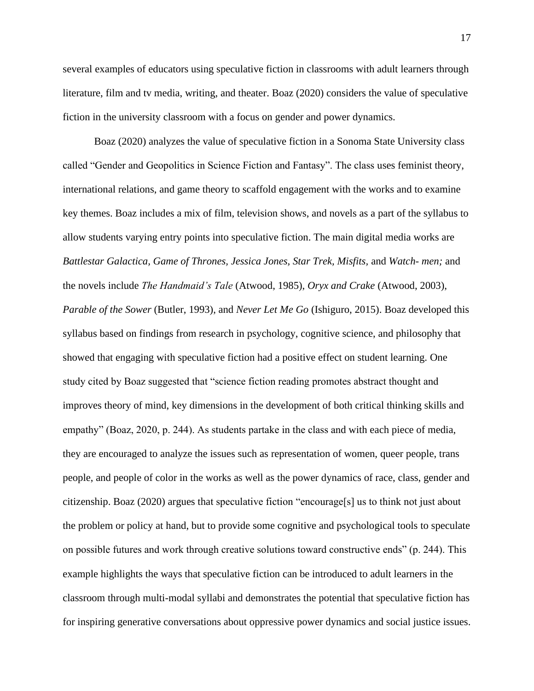several examples of educators using speculative fiction in classrooms with adult learners through literature, film and tv media, writing, and theater. Boaz (2020) considers the value of speculative fiction in the university classroom with a focus on gender and power dynamics.

Boaz (2020) analyzes the value of speculative fiction in a Sonoma State University class called "Gender and Geopolitics in Science Fiction and Fantasy". The class uses feminist theory, international relations, and game theory to scaffold engagement with the works and to examine key themes. Boaz includes a mix of film, television shows, and novels as a part of the syllabus to allow students varying entry points into speculative fiction. The main digital media works are *Battlestar Galactica, Game of Thrones, Jessica Jones, Star Trek, Misfits,* and *Watch- men;* and the novels include *The Handmaid's Tale* (Atwood, 1985), *Oryx and Crake* (Atwood, 2003), *Parable of the Sower* (Butler, 1993), and *Never Let Me Go* (Ishiguro, 2015). Boaz developed this syllabus based on findings from research in psychology, cognitive science, and philosophy that showed that engaging with speculative fiction had a positive effect on student learning. One study cited by Boaz suggested that "science fiction reading promotes abstract thought and improves theory of mind, key dimensions in the development of both critical thinking skills and empathy" (Boaz, 2020, p. 244). As students partake in the class and with each piece of media, they are encouraged to analyze the issues such as representation of women, queer people, trans people, and people of color in the works as well as the power dynamics of race, class, gender and citizenship. Boaz (2020) argues that speculative fiction "encourage[s] us to think not just about the problem or policy at hand, but to provide some cognitive and psychological tools to speculate on possible futures and work through creative solutions toward constructive ends" (p. 244). This example highlights the ways that speculative fiction can be introduced to adult learners in the classroom through multi-modal syllabi and demonstrates the potential that speculative fiction has for inspiring generative conversations about oppressive power dynamics and social justice issues.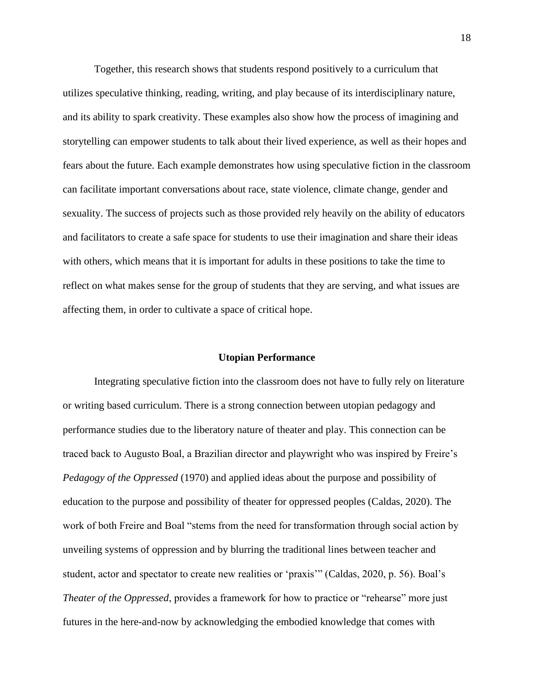Together, this research shows that students respond positively to a curriculum that utilizes speculative thinking, reading, writing, and play because of its interdisciplinary nature, and its ability to spark creativity. These examples also show how the process of imagining and storytelling can empower students to talk about their lived experience, as well as their hopes and fears about the future. Each example demonstrates how using speculative fiction in the classroom can facilitate important conversations about race, state violence, climate change, gender and sexuality. The success of projects such as those provided rely heavily on the ability of educators and facilitators to create a safe space for students to use their imagination and share their ideas with others, which means that it is important for adults in these positions to take the time to reflect on what makes sense for the group of students that they are serving, and what issues are affecting them, in order to cultivate a space of critical hope.

#### **Utopian Performance**

Integrating speculative fiction into the classroom does not have to fully rely on literature or writing based curriculum. There is a strong connection between utopian pedagogy and performance studies due to the liberatory nature of theater and play. This connection can be traced back to Augusto Boal, a Brazilian director and playwright who was inspired by Freire's *Pedagogy of the Oppressed* (1970) and applied ideas about the purpose and possibility of education to the purpose and possibility of theater for oppressed peoples (Caldas, 2020). The work of both Freire and Boal "stems from the need for transformation through social action by unveiling systems of oppression and by blurring the traditional lines between teacher and student, actor and spectator to create new realities or 'praxis'" (Caldas, 2020, p. 56). Boal's *Theater of the Oppressed*, provides a framework for how to practice or "rehearse" more just futures in the here-and-now by acknowledging the embodied knowledge that comes with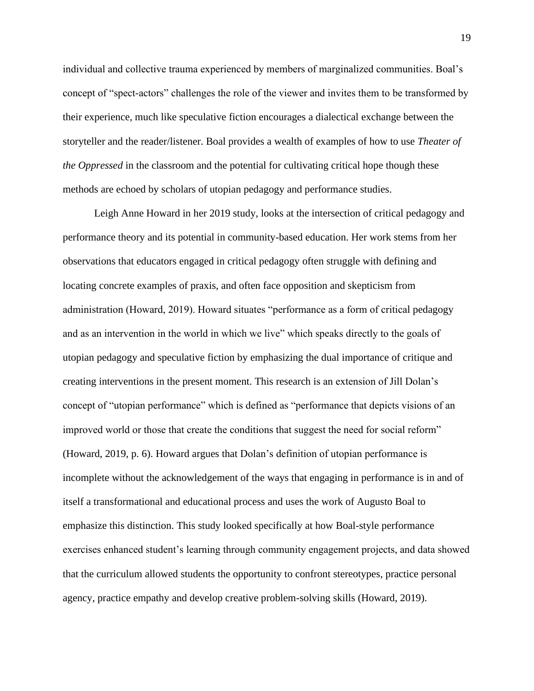individual and collective trauma experienced by members of marginalized communities. Boal's concept of "spect-actors" challenges the role of the viewer and invites them to be transformed by their experience, much like speculative fiction encourages a dialectical exchange between the storyteller and the reader/listener. Boal provides a wealth of examples of how to use *Theater of the Oppressed* in the classroom and the potential for cultivating critical hope though these methods are echoed by scholars of utopian pedagogy and performance studies.

Leigh Anne Howard in her 2019 study, looks at the intersection of critical pedagogy and performance theory and its potential in community-based education. Her work stems from her observations that educators engaged in critical pedagogy often struggle with defining and locating concrete examples of praxis, and often face opposition and skepticism from administration (Howard, 2019). Howard situates "performance as a form of critical pedagogy and as an intervention in the world in which we live" which speaks directly to the goals of utopian pedagogy and speculative fiction by emphasizing the dual importance of critique and creating interventions in the present moment. This research is an extension of Jill Dolan's concept of "utopian performance" which is defined as "performance that depicts visions of an improved world or those that create the conditions that suggest the need for social reform" (Howard, 2019, p. 6). Howard argues that Dolan's definition of utopian performance is incomplete without the acknowledgement of the ways that engaging in performance is in and of itself a transformational and educational process and uses the work of Augusto Boal to emphasize this distinction. This study looked specifically at how Boal-style performance exercises enhanced student's learning through community engagement projects, and data showed that the curriculum allowed students the opportunity to confront stereotypes, practice personal agency, practice empathy and develop creative problem-solving skills (Howard, 2019).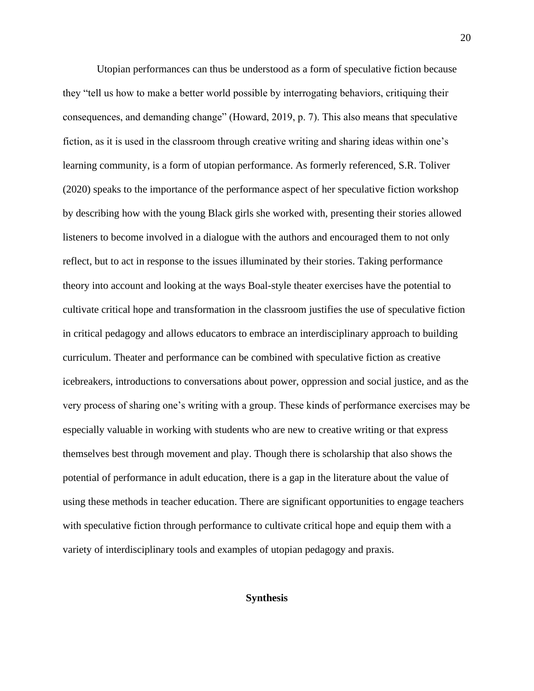Utopian performances can thus be understood as a form of speculative fiction because they "tell us how to make a better world possible by interrogating behaviors, critiquing their consequences, and demanding change" (Howard, 2019, p. 7). This also means that speculative fiction, as it is used in the classroom through creative writing and sharing ideas within one's learning community, is a form of utopian performance. As formerly referenced, S.R. Toliver (2020) speaks to the importance of the performance aspect of her speculative fiction workshop by describing how with the young Black girls she worked with, presenting their stories allowed listeners to become involved in a dialogue with the authors and encouraged them to not only reflect, but to act in response to the issues illuminated by their stories. Taking performance theory into account and looking at the ways Boal-style theater exercises have the potential to cultivate critical hope and transformation in the classroom justifies the use of speculative fiction in critical pedagogy and allows educators to embrace an interdisciplinary approach to building curriculum. Theater and performance can be combined with speculative fiction as creative icebreakers, introductions to conversations about power, oppression and social justice, and as the very process of sharing one's writing with a group. These kinds of performance exercises may be especially valuable in working with students who are new to creative writing or that express themselves best through movement and play. Though there is scholarship that also shows the potential of performance in adult education, there is a gap in the literature about the value of using these methods in teacher education. There are significant opportunities to engage teachers with speculative fiction through performance to cultivate critical hope and equip them with a variety of interdisciplinary tools and examples of utopian pedagogy and praxis.

### **Synthesis**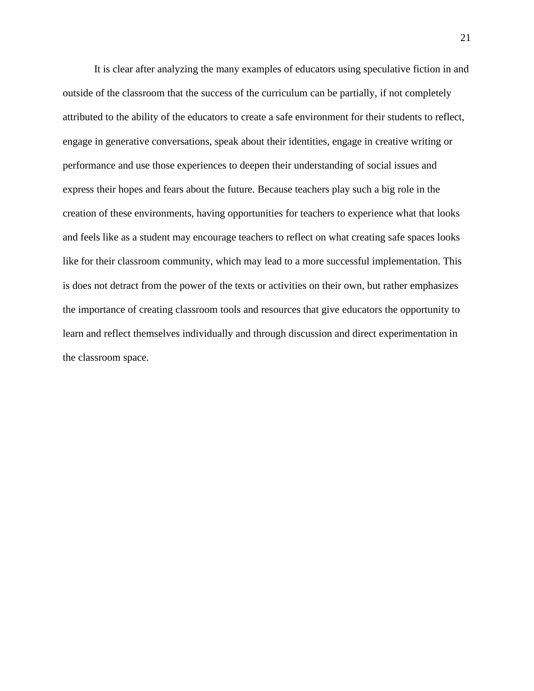It is clear after analyzing the many examples of educators using speculative fiction in and outside of the classroom that the success of the curriculum can be partially, if not completely attributed to the ability of the educators to create a safe environment for their students to reflect, engage in generative conversations, speak about their identities, engage in creative writing or performance and use those experiences to deepen their understanding of social issues and express their hopes and fears about the future. Because teachers play such a big role in the creation of these environments, having opportunities for teachers to experience what that looks and feels like as a student may encourage teachers to reflect on what creating safe spaces looks like for their classroom community, which may lead to a more successful implementation. This is does not detract from the power of the texts or activities on their own, but rather emphasizes the importance of creating classroom tools and resources that give educators the opportunity to learn and reflect themselves individually and through discussion and direct experimentation in the classroom space.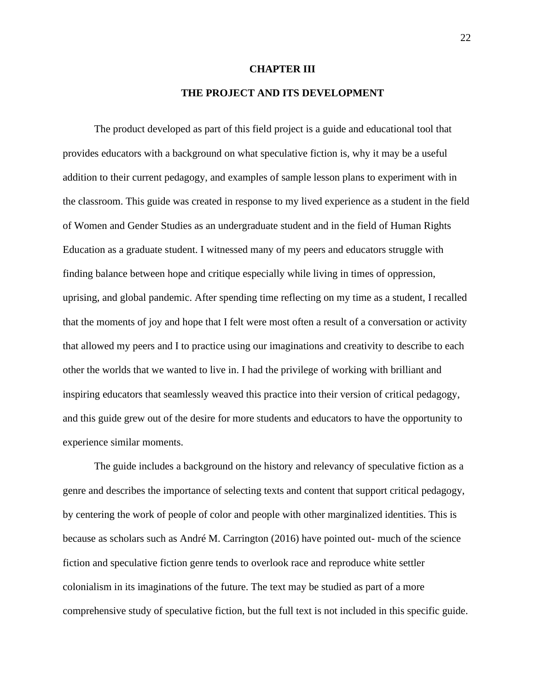#### **CHAPTER III**

## **THE PROJECT AND ITS DEVELOPMENT**

The product developed as part of this field project is a guide and educational tool that provides educators with a background on what speculative fiction is, why it may be a useful addition to their current pedagogy, and examples of sample lesson plans to experiment with in the classroom. This guide was created in response to my lived experience as a student in the field of Women and Gender Studies as an undergraduate student and in the field of Human Rights Education as a graduate student. I witnessed many of my peers and educators struggle with finding balance between hope and critique especially while living in times of oppression, uprising, and global pandemic. After spending time reflecting on my time as a student, I recalled that the moments of joy and hope that I felt were most often a result of a conversation or activity that allowed my peers and I to practice using our imaginations and creativity to describe to each other the worlds that we wanted to live in. I had the privilege of working with brilliant and inspiring educators that seamlessly weaved this practice into their version of critical pedagogy, and this guide grew out of the desire for more students and educators to have the opportunity to experience similar moments.

The guide includes a background on the history and relevancy of speculative fiction as a genre and describes the importance of selecting texts and content that support critical pedagogy, by centering the work of people of color and people with other marginalized identities. This is because as scholars such as André M. Carrington (2016) have pointed out- much of the science fiction and speculative fiction genre tends to overlook race and reproduce white settler colonialism in its imaginations of the future. The text may be studied as part of a more comprehensive study of speculative fiction, but the full text is not included in this specific guide.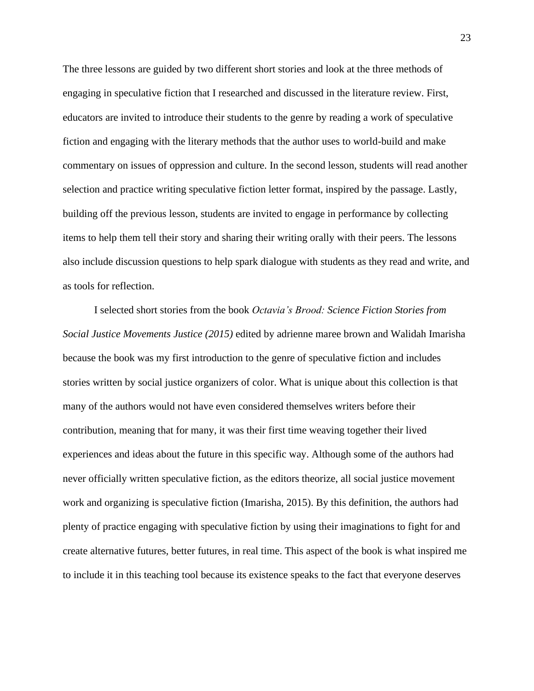The three lessons are guided by two different short stories and look at the three methods of engaging in speculative fiction that I researched and discussed in the literature review. First, educators are invited to introduce their students to the genre by reading a work of speculative fiction and engaging with the literary methods that the author uses to world-build and make commentary on issues of oppression and culture. In the second lesson, students will read another selection and practice writing speculative fiction letter format, inspired by the passage. Lastly, building off the previous lesson, students are invited to engage in performance by collecting items to help them tell their story and sharing their writing orally with their peers. The lessons also include discussion questions to help spark dialogue with students as they read and write, and as tools for reflection.

I selected short stories from the book *Octavia's Brood: Science Fiction Stories from Social Justice Movements Justice (2015)* edited by adrienne maree brown and Walidah Imarisha because the book was my first introduction to the genre of speculative fiction and includes stories written by social justice organizers of color. What is unique about this collection is that many of the authors would not have even considered themselves writers before their contribution, meaning that for many, it was their first time weaving together their lived experiences and ideas about the future in this specific way. Although some of the authors had never officially written speculative fiction, as the editors theorize, all social justice movement work and organizing is speculative fiction (Imarisha, 2015). By this definition, the authors had plenty of practice engaging with speculative fiction by using their imaginations to fight for and create alternative futures, better futures, in real time. This aspect of the book is what inspired me to include it in this teaching tool because its existence speaks to the fact that everyone deserves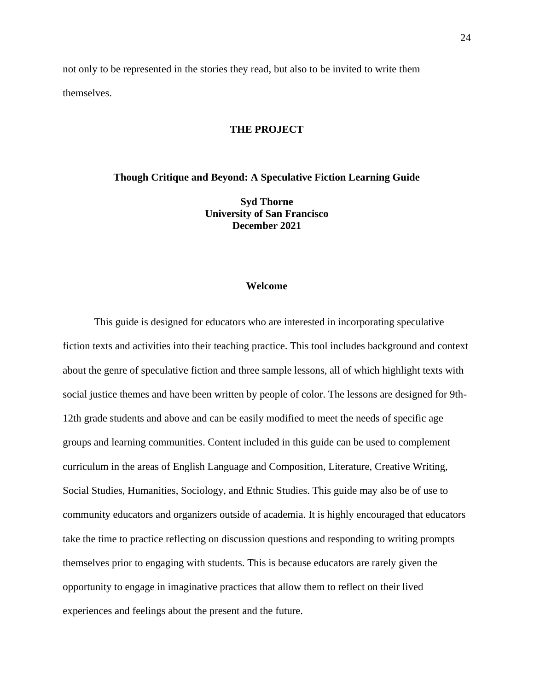not only to be represented in the stories they read, but also to be invited to write them themselves.

## **THE PROJECT**

**Though Critique and Beyond: A Speculative Fiction Learning Guide**

**Syd Thorne University of San Francisco December 2021**

#### **Welcome**

This guide is designed for educators who are interested in incorporating speculative fiction texts and activities into their teaching practice. This tool includes background and context about the genre of speculative fiction and three sample lessons, all of which highlight texts with social justice themes and have been written by people of color. The lessons are designed for 9th-12th grade students and above and can be easily modified to meet the needs of specific age groups and learning communities. Content included in this guide can be used to complement curriculum in the areas of English Language and Composition, Literature, Creative Writing, Social Studies, Humanities, Sociology, and Ethnic Studies. This guide may also be of use to community educators and organizers outside of academia. It is highly encouraged that educators take the time to practice reflecting on discussion questions and responding to writing prompts themselves prior to engaging with students. This is because educators are rarely given the opportunity to engage in imaginative practices that allow them to reflect on their lived experiences and feelings about the present and the future.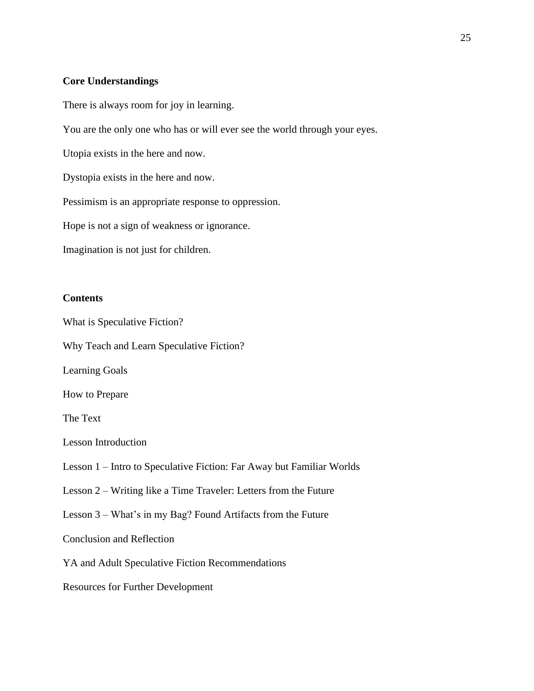### **Core Understandings**

There is always room for joy in learning.

You are the only one who has or will ever see the world through your eyes.

Utopia exists in the here and now.

Dystopia exists in the here and now.

Pessimism is an appropriate response to oppression.

Hope is not a sign of weakness or ignorance.

Imagination is not just for children.

## **Contents**

What is Speculative Fiction? Why Teach and Learn Speculative Fiction? Learning Goals How to Prepare The Text Lesson Introduction Lesson 1 – Intro to Speculative Fiction: Far Away but Familiar Worlds Lesson 2 – Writing like a Time Traveler: Letters from the Future Lesson 3 – What's in my Bag? Found Artifacts from the Future Conclusion and Reflection YA and Adult Speculative Fiction Recommendations Resources for Further Development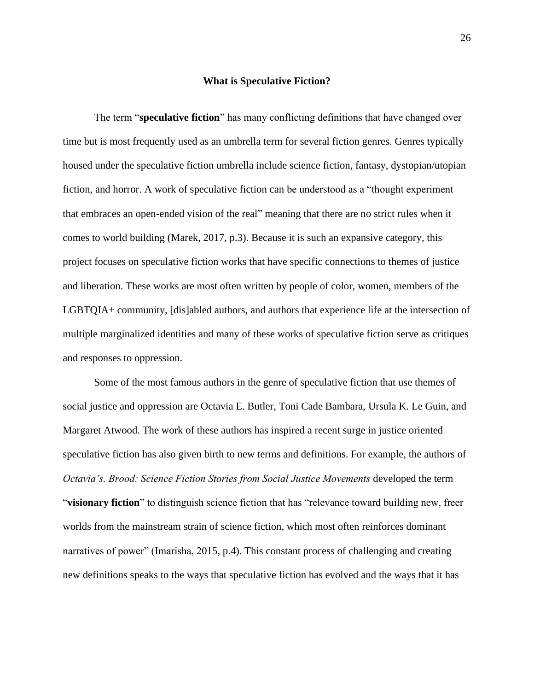#### **What is Speculative Fiction?**

The term "**speculative fiction**" has many conflicting definitions that have changed over time but is most frequently used as an umbrella term for several fiction genres. Genres typically housed under the speculative fiction umbrella include science fiction, fantasy, dystopian/utopian fiction, and horror. A work of speculative fiction can be understood as a "thought experiment that embraces an open-ended vision of the real" meaning that there are no strict rules when it comes to world building (Marek, 2017, p.3). Because it is such an expansive category, this project focuses on speculative fiction works that have specific connections to themes of justice and liberation. These works are most often written by people of color, women, members of the LGBTQIA+ community, [dis]abled authors, and authors that experience life at the intersection of multiple marginalized identities and many of these works of speculative fiction serve as critiques and responses to oppression.

Some of the most famous authors in the genre of speculative fiction that use themes of social justice and oppression are Octavia E. Butler, Toni Cade Bambara, Ursula K. Le Guin, and Margaret Atwood. The work of these authors has inspired a recent surge in justice oriented speculative fiction has also given birth to new terms and definitions. For example, the authors of *Octavia's. Brood: Science Fiction Stories from Social Justice Movements* developed the term "**visionary fiction**" to distinguish science fiction that has "relevance toward building new, freer worlds from the mainstream strain of science fiction, which most often reinforces dominant narratives of power" (Imarisha, 2015, p.4). This constant process of challenging and creating new definitions speaks to the ways that speculative fiction has evolved and the ways that it has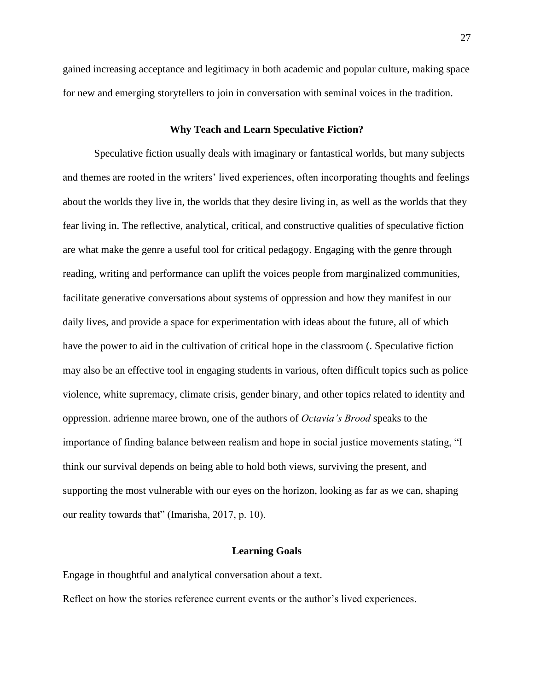gained increasing acceptance and legitimacy in both academic and popular culture, making space for new and emerging storytellers to join in conversation with seminal voices in the tradition.

#### **Why Teach and Learn Speculative Fiction?**

Speculative fiction usually deals with imaginary or fantastical worlds, but many subjects and themes are rooted in the writers' lived experiences, often incorporating thoughts and feelings about the worlds they live in, the worlds that they desire living in, as well as the worlds that they fear living in. The reflective, analytical, critical, and constructive qualities of speculative fiction are what make the genre a useful tool for critical pedagogy. Engaging with the genre through reading, writing and performance can uplift the voices people from marginalized communities, facilitate generative conversations about systems of oppression and how they manifest in our daily lives, and provide a space for experimentation with ideas about the future, all of which have the power to aid in the cultivation of critical hope in the classroom (. Speculative fiction may also be an effective tool in engaging students in various, often difficult topics such as police violence, white supremacy, climate crisis, gender binary, and other topics related to identity and oppression. adrienne maree brown, one of the authors of *Octavia's Brood* speaks to the importance of finding balance between realism and hope in social justice movements stating, "I think our survival depends on being able to hold both views, surviving the present, and supporting the most vulnerable with our eyes on the horizon, looking as far as we can, shaping our reality towards that" (Imarisha, 2017, p. 10).

#### **Learning Goals**

Engage in thoughtful and analytical conversation about a text.

Reflect on how the stories reference current events or the author's lived experiences.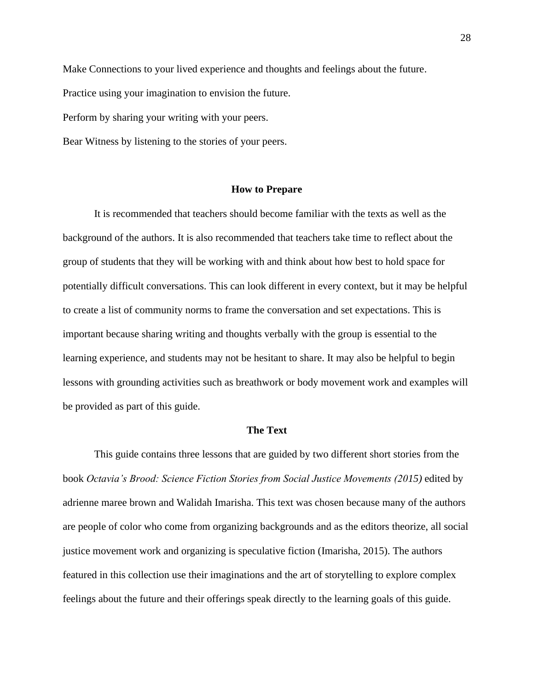Make Connections to your lived experience and thoughts and feelings about the future. Practice using your imagination to envision the future. Perform by sharing your writing with your peers. Bear Witness by listening to the stories of your peers.

#### **How to Prepare**

It is recommended that teachers should become familiar with the texts as well as the background of the authors. It is also recommended that teachers take time to reflect about the group of students that they will be working with and think about how best to hold space for potentially difficult conversations. This can look different in every context, but it may be helpful to create a list of community norms to frame the conversation and set expectations. This is important because sharing writing and thoughts verbally with the group is essential to the learning experience, and students may not be hesitant to share. It may also be helpful to begin lessons with grounding activities such as breathwork or body movement work and examples will be provided as part of this guide.

#### **The Text**

This guide contains three lessons that are guided by two different short stories from the book *Octavia's Brood: Science Fiction Stories from Social Justice Movements (2015)* edited by adrienne maree brown and Walidah Imarisha. This text was chosen because many of the authors are people of color who come from organizing backgrounds and as the editors theorize, all social justice movement work and organizing is speculative fiction (Imarisha, 2015). The authors featured in this collection use their imaginations and the art of storytelling to explore complex feelings about the future and their offerings speak directly to the learning goals of this guide.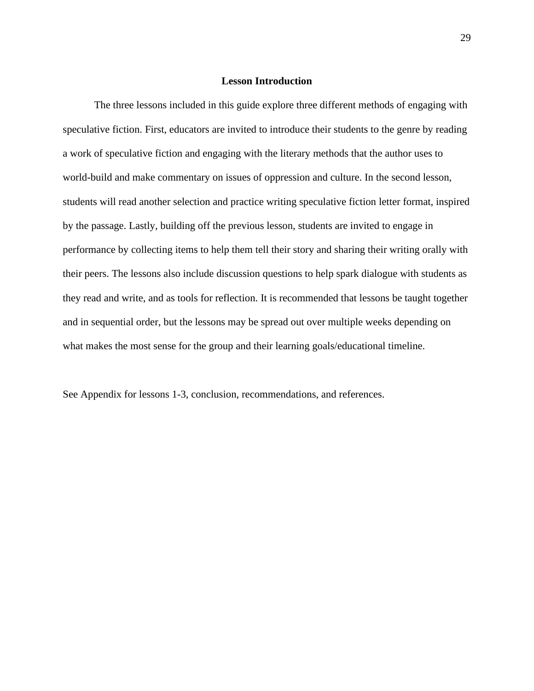#### **Lesson Introduction**

The three lessons included in this guide explore three different methods of engaging with speculative fiction. First, educators are invited to introduce their students to the genre by reading a work of speculative fiction and engaging with the literary methods that the author uses to world-build and make commentary on issues of oppression and culture. In the second lesson, students will read another selection and practice writing speculative fiction letter format, inspired by the passage. Lastly, building off the previous lesson, students are invited to engage in performance by collecting items to help them tell their story and sharing their writing orally with their peers. The lessons also include discussion questions to help spark dialogue with students as they read and write, and as tools for reflection. It is recommended that lessons be taught together and in sequential order, but the lessons may be spread out over multiple weeks depending on what makes the most sense for the group and their learning goals/educational timeline.

See Appendix for lessons 1-3, conclusion, recommendations, and references.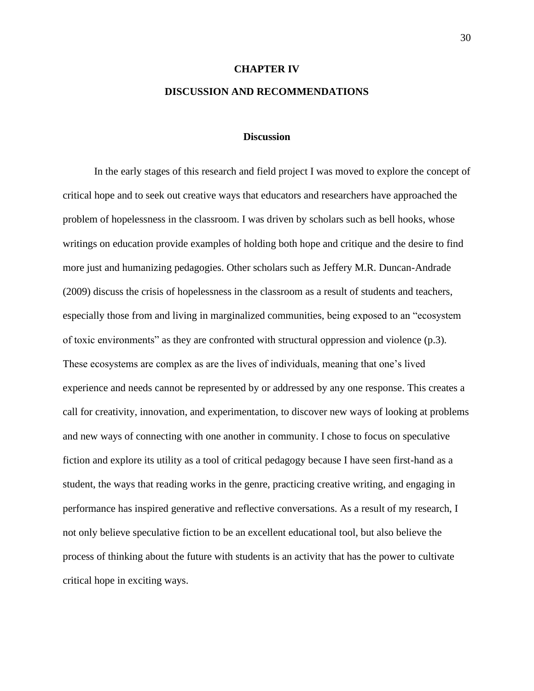# **CHAPTER IV DISCUSSION AND RECOMMENDATIONS**

#### **Discussion**

In the early stages of this research and field project I was moved to explore the concept of critical hope and to seek out creative ways that educators and researchers have approached the problem of hopelessness in the classroom. I was driven by scholars such as bell hooks, whose writings on education provide examples of holding both hope and critique and the desire to find more just and humanizing pedagogies. Other scholars such as Jeffery M.R. Duncan-Andrade (2009) discuss the crisis of hopelessness in the classroom as a result of students and teachers, especially those from and living in marginalized communities, being exposed to an "ecosystem of toxic environments" as they are confronted with structural oppression and violence (p.3). These ecosystems are complex as are the lives of individuals, meaning that one's lived experience and needs cannot be represented by or addressed by any one response. This creates a call for creativity, innovation, and experimentation, to discover new ways of looking at problems and new ways of connecting with one another in community. I chose to focus on speculative fiction and explore its utility as a tool of critical pedagogy because I have seen first-hand as a student, the ways that reading works in the genre, practicing creative writing, and engaging in performance has inspired generative and reflective conversations. As a result of my research, I not only believe speculative fiction to be an excellent educational tool, but also believe the process of thinking about the future with students is an activity that has the power to cultivate critical hope in exciting ways.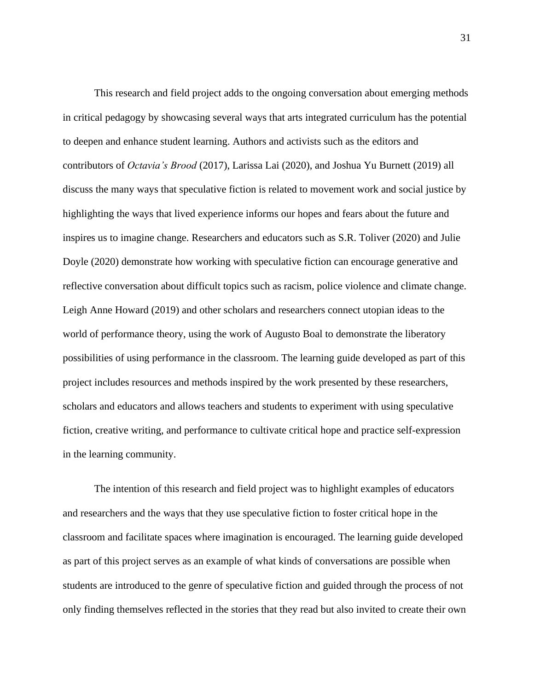This research and field project adds to the ongoing conversation about emerging methods in critical pedagogy by showcasing several ways that arts integrated curriculum has the potential to deepen and enhance student learning. Authors and activists such as the editors and contributors of *Octavia's Brood* (2017), Larissa Lai (2020), and Joshua Yu Burnett (2019) all discuss the many ways that speculative fiction is related to movement work and social justice by highlighting the ways that lived experience informs our hopes and fears about the future and inspires us to imagine change. Researchers and educators such as S.R. Toliver (2020) and Julie Doyle (2020) demonstrate how working with speculative fiction can encourage generative and reflective conversation about difficult topics such as racism, police violence and climate change. Leigh Anne Howard (2019) and other scholars and researchers connect utopian ideas to the world of performance theory, using the work of Augusto Boal to demonstrate the liberatory possibilities of using performance in the classroom. The learning guide developed as part of this project includes resources and methods inspired by the work presented by these researchers, scholars and educators and allows teachers and students to experiment with using speculative fiction, creative writing, and performance to cultivate critical hope and practice self-expression in the learning community.

The intention of this research and field project was to highlight examples of educators and researchers and the ways that they use speculative fiction to foster critical hope in the classroom and facilitate spaces where imagination is encouraged. The learning guide developed as part of this project serves as an example of what kinds of conversations are possible when students are introduced to the genre of speculative fiction and guided through the process of not only finding themselves reflected in the stories that they read but also invited to create their own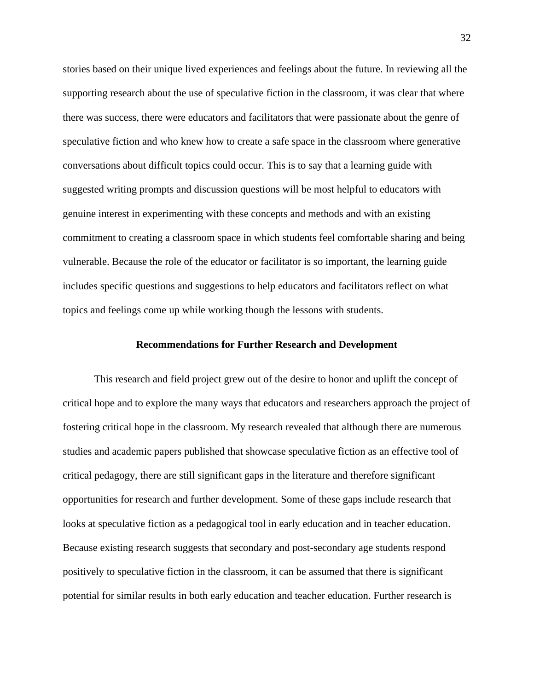stories based on their unique lived experiences and feelings about the future. In reviewing all the supporting research about the use of speculative fiction in the classroom, it was clear that where there was success, there were educators and facilitators that were passionate about the genre of speculative fiction and who knew how to create a safe space in the classroom where generative conversations about difficult topics could occur. This is to say that a learning guide with suggested writing prompts and discussion questions will be most helpful to educators with genuine interest in experimenting with these concepts and methods and with an existing commitment to creating a classroom space in which students feel comfortable sharing and being vulnerable. Because the role of the educator or facilitator is so important, the learning guide includes specific questions and suggestions to help educators and facilitators reflect on what topics and feelings come up while working though the lessons with students.

#### **Recommendations for Further Research and Development**

This research and field project grew out of the desire to honor and uplift the concept of critical hope and to explore the many ways that educators and researchers approach the project of fostering critical hope in the classroom. My research revealed that although there are numerous studies and academic papers published that showcase speculative fiction as an effective tool of critical pedagogy, there are still significant gaps in the literature and therefore significant opportunities for research and further development. Some of these gaps include research that looks at speculative fiction as a pedagogical tool in early education and in teacher education. Because existing research suggests that secondary and post-secondary age students respond positively to speculative fiction in the classroom, it can be assumed that there is significant potential for similar results in both early education and teacher education. Further research is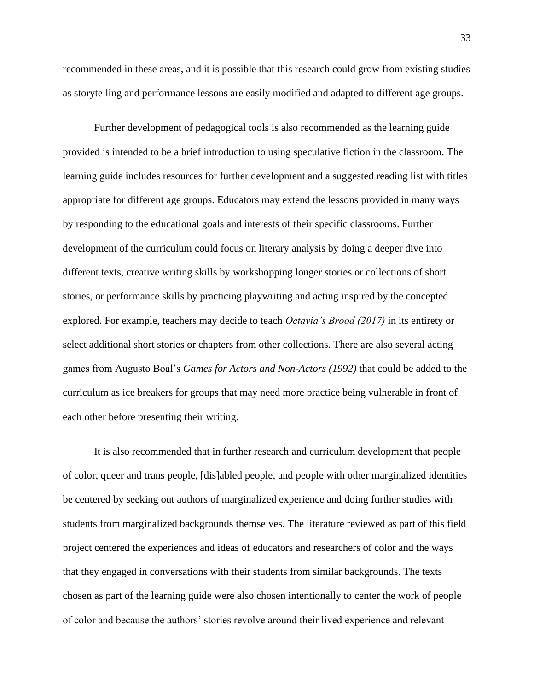recommended in these areas, and it is possible that this research could grow from existing studies as storytelling and performance lessons are easily modified and adapted to different age groups.

Further development of pedagogical tools is also recommended as the learning guide provided is intended to be a brief introduction to using speculative fiction in the classroom. The learning guide includes resources for further development and a suggested reading list with titles appropriate for different age groups. Educators may extend the lessons provided in many ways by responding to the educational goals and interests of their specific classrooms. Further development of the curriculum could focus on literary analysis by doing a deeper dive into different texts, creative writing skills by workshopping longer stories or collections of short stories, or performance skills by practicing playwriting and acting inspired by the concepted explored. For example, teachers may decide to teach *Octavia's Brood (2017)* in its entirety or select additional short stories or chapters from other collections. There are also several acting games from Augusto Boal's *Games for Actors and Non-Actors (1992)* that could be added to the curriculum as ice breakers for groups that may need more practice being vulnerable in front of each other before presenting their writing.

It is also recommended that in further research and curriculum development that people of color, queer and trans people, [dis]abled people, and people with other marginalized identities be centered by seeking out authors of marginalized experience and doing further studies with students from marginalized backgrounds themselves. The literature reviewed as part of this field project centered the experiences and ideas of educators and researchers of color and the ways that they engaged in conversations with their students from similar backgrounds. The texts chosen as part of the learning guide were also chosen intentionally to center the work of people of color and because the authors' stories revolve around their lived experience and relevant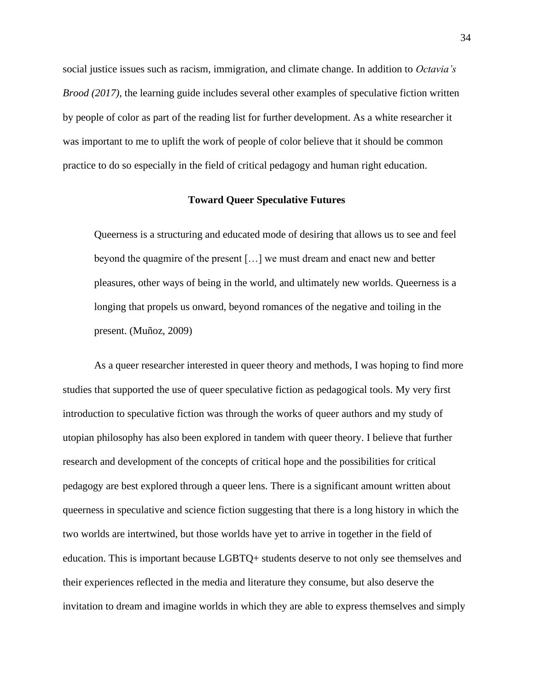social justice issues such as racism, immigration, and climate change. In addition to *Octavia's Brood (2017),* the learning guide includes several other examples of speculative fiction written by people of color as part of the reading list for further development. As a white researcher it was important to me to uplift the work of people of color believe that it should be common practice to do so especially in the field of critical pedagogy and human right education.

#### **Toward Queer Speculative Futures**

Queerness is a structuring and educated mode of desiring that allows us to see and feel beyond the quagmire of the present […] we must dream and enact new and better pleasures, other ways of being in the world, and ultimately new worlds. Queerness is a longing that propels us onward, beyond romances of the negative and toiling in the present. (Muñoz, 2009)

As a queer researcher interested in queer theory and methods, I was hoping to find more studies that supported the use of queer speculative fiction as pedagogical tools. My very first introduction to speculative fiction was through the works of queer authors and my study of utopian philosophy has also been explored in tandem with queer theory. I believe that further research and development of the concepts of critical hope and the possibilities for critical pedagogy are best explored through a queer lens. There is a significant amount written about queerness in speculative and science fiction suggesting that there is a long history in which the two worlds are intertwined, but those worlds have yet to arrive in together in the field of education. This is important because LGBTQ+ students deserve to not only see themselves and their experiences reflected in the media and literature they consume, but also deserve the invitation to dream and imagine worlds in which they are able to express themselves and simply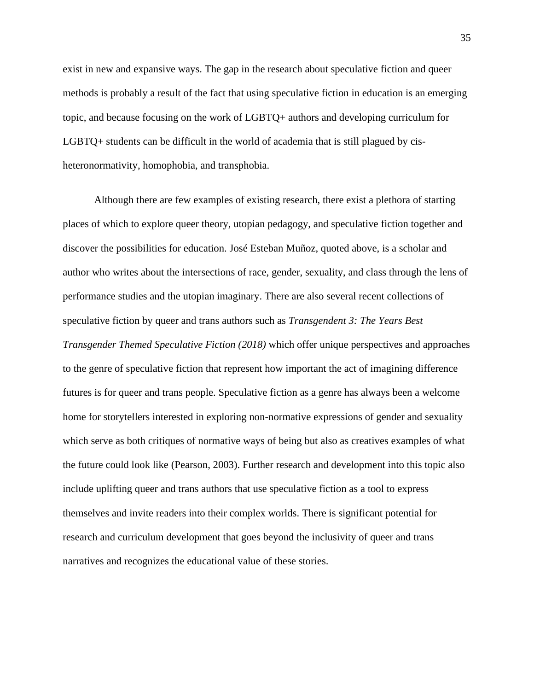exist in new and expansive ways. The gap in the research about speculative fiction and queer methods is probably a result of the fact that using speculative fiction in education is an emerging topic, and because focusing on the work of LGBTQ+ authors and developing curriculum for LGBTQ+ students can be difficult in the world of academia that is still plagued by cisheteronormativity, homophobia, and transphobia.

Although there are few examples of existing research, there exist a plethora of starting places of which to explore queer theory, utopian pedagogy, and speculative fiction together and discover the possibilities for education. José Esteban Muñoz, quoted above, is a scholar and author who writes about the intersections of race, gender, sexuality, and class through the lens of performance studies and the utopian imaginary. There are also several recent collections of speculative fiction by queer and trans authors such as *Transgendent 3: The Years Best Transgender Themed Speculative Fiction (2018)* which offer unique perspectives and approaches to the genre of speculative fiction that represent how important the act of imagining difference futures is for queer and trans people. Speculative fiction as a genre has always been a welcome home for storytellers interested in exploring non-normative expressions of gender and sexuality which serve as both critiques of normative ways of being but also as creatives examples of what the future could look like (Pearson, 2003). Further research and development into this topic also include uplifting queer and trans authors that use speculative fiction as a tool to express themselves and invite readers into their complex worlds. There is significant potential for research and curriculum development that goes beyond the inclusivity of queer and trans narratives and recognizes the educational value of these stories.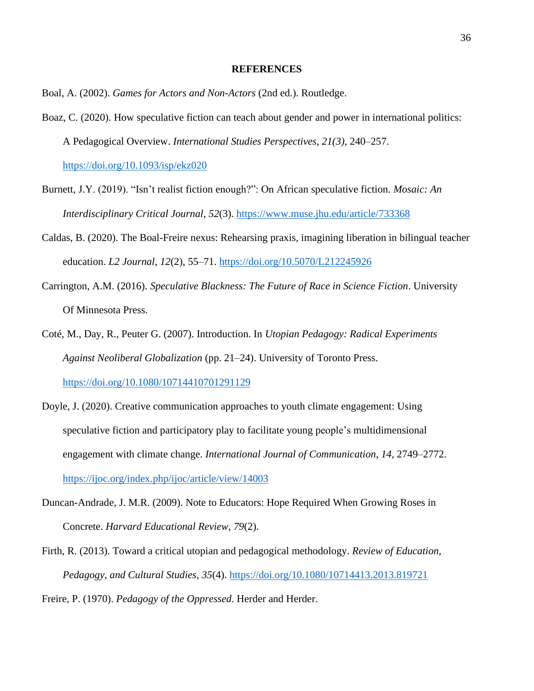#### **REFERENCES**

- Boal, A. (2002). *Games for Actors and Non-Actors* (2nd ed.). Routledge.
- Boaz, C. (2020). How speculative fiction can teach about gender and power in international politics: A Pedagogical Overview. *International Studies Perspectives*, *21(3)*, 240–257.

<https://doi.org/10.1093/isp/ekz020>

- Burnett, J.Y. (2019). "Isn't realist fiction enough?": On African speculative fiction. *Mosaic: An Interdisciplinary Critical Journal*, *52*(3). <https://www.muse.jhu.edu/article/733368>
- Caldas, B. (2020). The Boal-Freire nexus: Rehearsing praxis, imagining liberation in bilingual teacher education. *L2 Journal*, *12*(2), 55–71. <https://doi.org/10.5070/L212245926>
- Carrington, A.M. (2016). *Speculative Blackness: The Future of Race in Science Fiction*. University Of Minnesota Press.
- Coté, M., Day, R., Peuter G. (2007). Introduction. In *Utopian Pedagogy: Radical Experiments Against Neoliberal Globalization* (pp. 21–24). University of Toronto Press. <https://doi.org/10.1080/10714410701291129>
- Doyle, J. (2020). Creative communication approaches to youth climate engagement: Using speculative fiction and participatory play to facilitate young people's multidimensional engagement with climate change. *International Journal of Communication*, *14*, 2749–2772. <https://ijoc.org/index.php/ijoc/article/view/14003>
- Duncan-Andrade, J. M.R. (2009). Note to Educators: Hope Required When Growing Roses in Concrete. *Harvard Educational Review*, *79*(2).
- Firth, R. (2013). Toward a critical utopian and pedagogical methodology. *Review of Education, Pedagogy, and Cultural Studies*, *35*(4). <https://doi.org/10.1080/10714413.2013.819721>

Freire, P. (1970). *Pedagogy of the Oppressed*. Herder and Herder.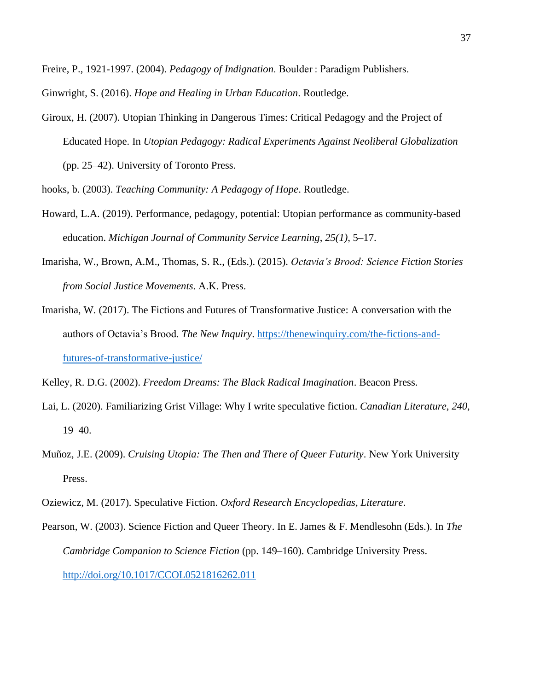Freire, P., 1921-1997. (2004). *Pedagogy of Indignation*. Boulder : Paradigm Publishers.

Ginwright, S. (2016). *Hope and Healing in Urban Education*. Routledge.

Giroux, H. (2007). Utopian Thinking in Dangerous Times: Critical Pedagogy and the Project of Educated Hope. In *Utopian Pedagogy: Radical Experiments Against Neoliberal Globalization* (pp. 25–42). University of Toronto Press.

hooks, b. (2003). *Teaching Community: A Pedagogy of Hope*. Routledge.

- Howard, L.A. (2019). Performance, pedagogy, potential: Utopian performance as community-based education. *Michigan Journal of Community Service Learning*, *25(1)*, 5–17.
- Imarisha, W., Brown, A.M., Thomas, S. R., (Eds.). (2015). *Octavia's Brood: Science Fiction Stories from Social Justice Movements*. A.K. Press.
- Imarisha, W. (2017). The Fictions and Futures of Transformative Justice: A conversation with the authors of Octavia's Brood. *The New Inquiry*. [https://thenewinquiry.com/the-fictions-and](https://thenewinquiry.com/the-fictions-and-futures-of-transformative-justice/)[futures-of-transformative-justice/](https://thenewinquiry.com/the-fictions-and-futures-of-transformative-justice/)

Kelley, R. D.G. (2002). *Freedom Dreams: The Black Radical Imagination*. Beacon Press.

- Lai, L. (2020). Familiarizing Grist Village: Why I write speculative fiction. *Canadian Literature*, *240*, 19–40.
- Muñoz, J.E. (2009). *Cruising Utopia: The Then and There of Queer Futurity*. New York University Press.
- Oziewicz, M. (2017). Speculative Fiction. *Oxford Research Encyclopedias, Literature*.
- Pearson, W. (2003). Science Fiction and Queer Theory. In E. James & F. Mendlesohn (Eds.). In *The Cambridge Companion to Science Fiction* (pp. 149–160). Cambridge University Press. <http://doi.org/10.1017/CCOL0521816262.011>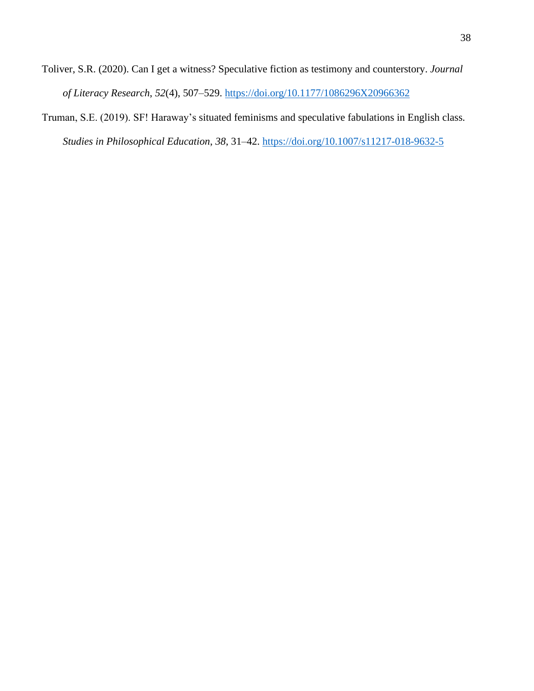- Toliver, S.R. (2020). Can I get a witness? Speculative fiction as testimony and counterstory. *Journal of Literacy Research*, *52*(4), 507–529.<https://doi.org/10.1177/1086296X20966362>
- Truman, S.E. (2019). SF! Haraway's situated feminisms and speculative fabulations in English class. *Studies in Philosophical Education*, *38*, 31–42.<https://doi.org/10.1007/s11217-018-9632-5>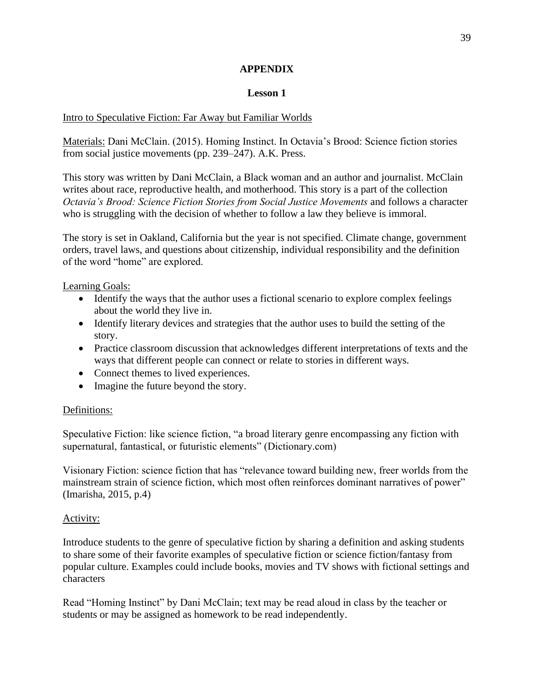## **APPENDIX**

# **Lesson 1**

# Intro to Speculative Fiction: Far Away but Familiar Worlds

Materials: Dani McClain. (2015). Homing Instinct. In Octavia's Brood: Science fiction stories from social justice movements (pp. 239–247). A.K. Press.

This story was written by Dani McClain, a Black woman and an author and journalist. McClain writes about race, reproductive health, and motherhood. This story is a part of the collection *Octavia's Brood: Science Fiction Stories from Social Justice Movements* and follows a character who is struggling with the decision of whether to follow a law they believe is immoral.

The story is set in Oakland, California but the year is not specified. Climate change, government orders, travel laws, and questions about citizenship, individual responsibility and the definition of the word "home" are explored.

Learning Goals:

- Identify the ways that the author uses a fictional scenario to explore complex feelings about the world they live in.
- Identify literary devices and strategies that the author uses to build the setting of the story.
- Practice classroom discussion that acknowledges different interpretations of texts and the ways that different people can connect or relate to stories in different ways.
- Connect themes to lived experiences.
- Imagine the future beyond the story.

# Definitions:

Speculative Fiction: like science fiction, "a broad literary genre encompassing any fiction with supernatural, fantastical, or futuristic elements" (Dictionary.com)

Visionary Fiction: science fiction that has "relevance toward building new, freer worlds from the mainstream strain of science fiction, which most often reinforces dominant narratives of power" (Imarisha, 2015, p.4)

# Activity:

Introduce students to the genre of speculative fiction by sharing a definition and asking students to share some of their favorite examples of speculative fiction or science fiction/fantasy from popular culture. Examples could include books, movies and TV shows with fictional settings and characters

Read "Homing Instinct" by Dani McClain; text may be read aloud in class by the teacher or students or may be assigned as homework to be read independently.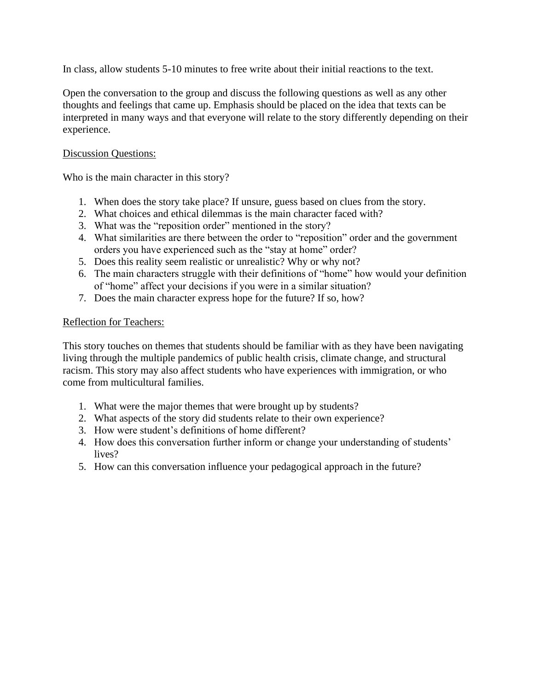In class, allow students 5-10 minutes to free write about their initial reactions to the text.

Open the conversation to the group and discuss the following questions as well as any other thoughts and feelings that came up. Emphasis should be placed on the idea that texts can be interpreted in many ways and that everyone will relate to the story differently depending on their experience.

## Discussion Questions:

Who is the main character in this story?

- 1. When does the story take place? If unsure, guess based on clues from the story.
- 2. What choices and ethical dilemmas is the main character faced with?
- 3. What was the "reposition order" mentioned in the story?
- 4. What similarities are there between the order to "reposition" order and the government orders you have experienced such as the "stay at home" order?
- 5. Does this reality seem realistic or unrealistic? Why or why not?
- 6. The main characters struggle with their definitions of "home" how would your definition of "home" affect your decisions if you were in a similar situation?
- 7. Does the main character express hope for the future? If so, how?

## Reflection for Teachers:

This story touches on themes that students should be familiar with as they have been navigating living through the multiple pandemics of public health crisis, climate change, and structural racism. This story may also affect students who have experiences with immigration, or who come from multicultural families.

- 1. What were the major themes that were brought up by students?
- 2. What aspects of the story did students relate to their own experience?
- 3. How were student's definitions of home different?
- 4. How does this conversation further inform or change your understanding of students' lives?
- 5. How can this conversation influence your pedagogical approach in the future?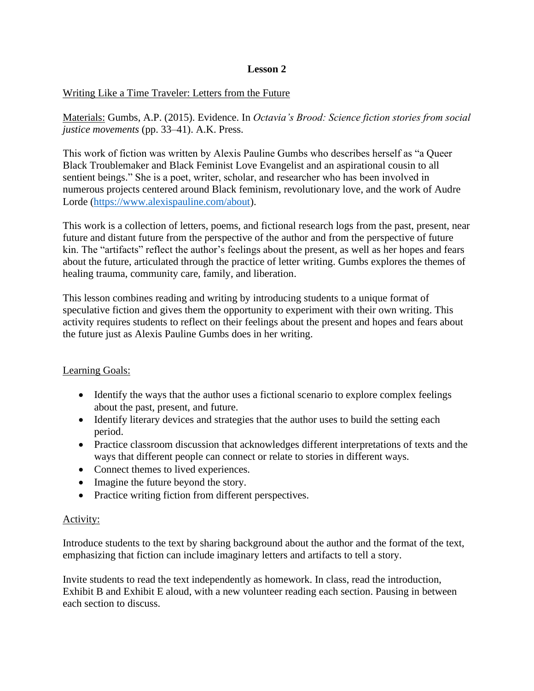# **Lesson 2**

## Writing Like a Time Traveler: Letters from the Future

Materials: Gumbs, A.P. (2015). Evidence. In *Octavia's Brood: Science fiction stories from social justice movements* (pp. 33–41). A.K. Press.

This work of fiction was written by Alexis Pauline Gumbs who describes herself as "a Queer Black Troublemaker and Black Feminist Love Evangelist and an aspirational cousin to all sentient beings." She is a poet, writer, scholar, and researcher who has been involved in numerous projects centered around Black feminism, revolutionary love, and the work of Audre Lorde [\(https://www.alexispauline.com/about\)](https://www.alexispauline.com/about).

This work is a collection of letters, poems, and fictional research logs from the past, present, near future and distant future from the perspective of the author and from the perspective of future kin. The "artifacts" reflect the author's feelings about the present, as well as her hopes and fears about the future, articulated through the practice of letter writing. Gumbs explores the themes of healing trauma, community care, family, and liberation.

This lesson combines reading and writing by introducing students to a unique format of speculative fiction and gives them the opportunity to experiment with their own writing. This activity requires students to reflect on their feelings about the present and hopes and fears about the future just as Alexis Pauline Gumbs does in her writing.

# Learning Goals:

- Identify the ways that the author uses a fictional scenario to explore complex feelings about the past, present, and future.
- Identify literary devices and strategies that the author uses to build the setting each period.
- Practice classroom discussion that acknowledges different interpretations of texts and the ways that different people can connect or relate to stories in different ways.
- Connect themes to lived experiences.
- Imagine the future beyond the story.
- Practice writing fiction from different perspectives.

## Activity:

Introduce students to the text by sharing background about the author and the format of the text, emphasizing that fiction can include imaginary letters and artifacts to tell a story.

Invite students to read the text independently as homework. In class, read the introduction, Exhibit B and Exhibit E aloud, with a new volunteer reading each section. Pausing in between each section to discuss.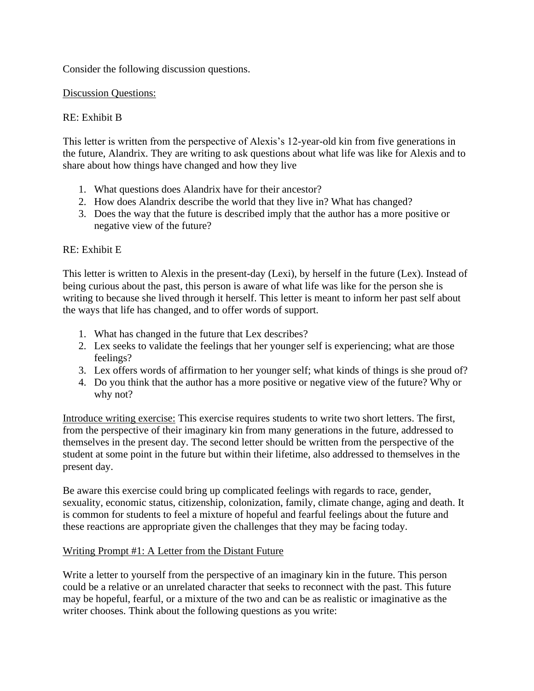Consider the following discussion questions.

## Discussion Questions:

# RE: Exhibit B

This letter is written from the perspective of Alexis's 12-year-old kin from five generations in the future, Alandrix. They are writing to ask questions about what life was like for Alexis and to share about how things have changed and how they live

- 1. What questions does Alandrix have for their ancestor?
- 2. How does Alandrix describe the world that they live in? What has changed?
- 3. Does the way that the future is described imply that the author has a more positive or negative view of the future?

# RE: Exhibit E

This letter is written to Alexis in the present-day (Lexi), by herself in the future (Lex). Instead of being curious about the past, this person is aware of what life was like for the person she is writing to because she lived through it herself. This letter is meant to inform her past self about the ways that life has changed, and to offer words of support.

- 1. What has changed in the future that Lex describes?
- 2. Lex seeks to validate the feelings that her younger self is experiencing; what are those feelings?
- 3. Lex offers words of affirmation to her younger self; what kinds of things is she proud of?
- 4. Do you think that the author has a more positive or negative view of the future? Why or why not?

Introduce writing exercise: This exercise requires students to write two short letters. The first, from the perspective of their imaginary kin from many generations in the future, addressed to themselves in the present day. The second letter should be written from the perspective of the student at some point in the future but within their lifetime, also addressed to themselves in the present day.

Be aware this exercise could bring up complicated feelings with regards to race, gender, sexuality, economic status, citizenship, colonization, family, climate change, aging and death. It is common for students to feel a mixture of hopeful and fearful feelings about the future and these reactions are appropriate given the challenges that they may be facing today.

# Writing Prompt #1: A Letter from the Distant Future

Write a letter to yourself from the perspective of an imaginary kin in the future. This person could be a relative or an unrelated character that seeks to reconnect with the past. This future may be hopeful, fearful, or a mixture of the two and can be as realistic or imaginative as the writer chooses. Think about the following questions as you write: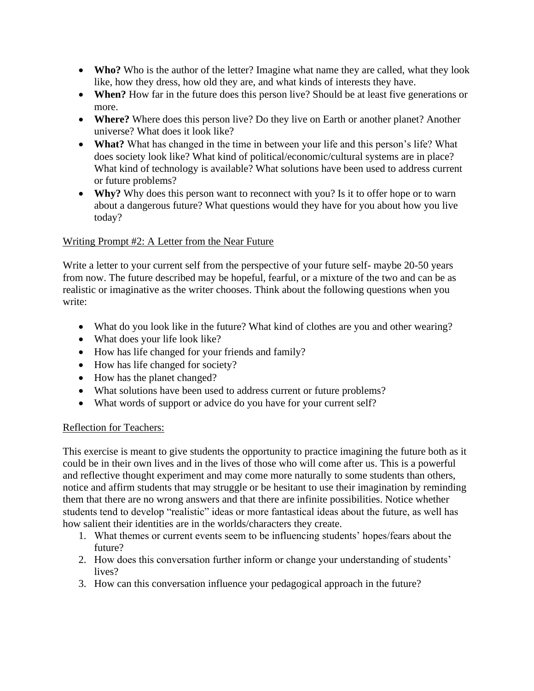- **Who?** Who is the author of the letter? Imagine what name they are called, what they look like, how they dress, how old they are, and what kinds of interests they have.
- **When?** How far in the future does this person live? Should be at least five generations or more.
- **Where?** Where does this person live? Do they live on Earth or another planet? Another universe? What does it look like?
- **What?** What has changed in the time in between your life and this person's life? What does society look like? What kind of political/economic/cultural systems are in place? What kind of technology is available? What solutions have been used to address current or future problems?
- **Why?** Why does this person want to reconnect with you? Is it to offer hope or to warn about a dangerous future? What questions would they have for you about how you live today?

# Writing Prompt #2: A Letter from the Near Future

Write a letter to your current self from the perspective of your future self- maybe 20-50 years from now. The future described may be hopeful, fearful, or a mixture of the two and can be as realistic or imaginative as the writer chooses. Think about the following questions when you write:

- What do you look like in the future? What kind of clothes are you and other wearing?
- What does your life look like?
- How has life changed for your friends and family?
- How has life changed for society?
- How has the planet changed?
- What solutions have been used to address current or future problems?
- What words of support or advice do you have for your current self?

# Reflection for Teachers:

This exercise is meant to give students the opportunity to practice imagining the future both as it could be in their own lives and in the lives of those who will come after us. This is a powerful and reflective thought experiment and may come more naturally to some students than others, notice and affirm students that may struggle or be hesitant to use their imagination by reminding them that there are no wrong answers and that there are infinite possibilities. Notice whether students tend to develop "realistic" ideas or more fantastical ideas about the future, as well has how salient their identities are in the worlds/characters they create.

- 1. What themes or current events seem to be influencing students' hopes/fears about the future?
- 2. How does this conversation further inform or change your understanding of students' lives?
- 3. How can this conversation influence your pedagogical approach in the future?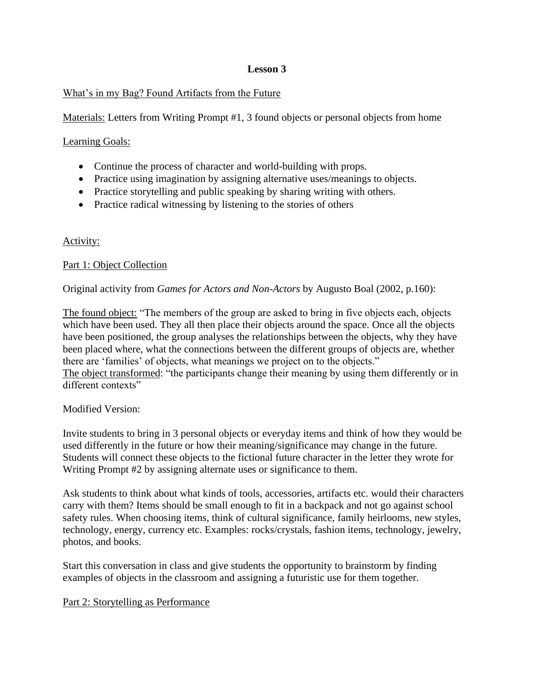# **Lesson 3**

# What's in my Bag? Found Artifacts from the Future

Materials: Letters from Writing Prompt #1, 3 found objects or personal objects from home

# Learning Goals:

- Continue the process of character and world-building with props.
- Practice using imagination by assigning alternative uses/meanings to objects.
- Practice storytelling and public speaking by sharing writing with others.
- Practice radical witnessing by listening to the stories of others

# Activity:

# Part 1: Object Collection

Original activity from *Games for Actors and Non-Actors* by Augusto Boal (2002, p.160):

The found object: "The members of the group are asked to bring in five objects each, objects which have been used. They all then place their objects around the space. Once all the objects have been positioned, the group analyses the relationships between the objects, why they have been placed where, what the connections between the different groups of objects are, whether there are 'families' of objects, what meanings we project on to the objects." The object transformed: "the participants change their meaning by using them differently or in different contexts"

# Modified Version:

Invite students to bring in 3 personal objects or everyday items and think of how they would be used differently in the future or how their meaning/significance may change in the future. Students will connect these objects to the fictional future character in the letter they wrote for Writing Prompt #2 by assigning alternate uses or significance to them.

Ask students to think about what kinds of tools, accessories, artifacts etc. would their characters carry with them? Items should be small enough to fit in a backpack and not go against school safety rules. When choosing items, think of cultural significance, family heirlooms, new styles, technology, energy, currency etc. Examples: rocks/crystals, fashion items, technology, jewelry, photos, and books.

Start this conversation in class and give students the opportunity to brainstorm by finding examples of objects in the classroom and assigning a futuristic use for them together.

# Part 2: Storytelling as Performance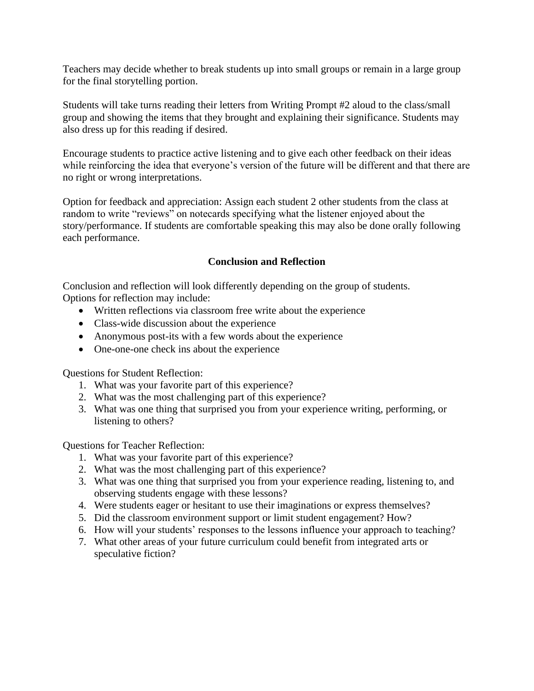Teachers may decide whether to break students up into small groups or remain in a large group for the final storytelling portion.

Students will take turns reading their letters from Writing Prompt #2 aloud to the class/small group and showing the items that they brought and explaining their significance. Students may also dress up for this reading if desired.

Encourage students to practice active listening and to give each other feedback on their ideas while reinforcing the idea that everyone's version of the future will be different and that there are no right or wrong interpretations.

Option for feedback and appreciation: Assign each student 2 other students from the class at random to write "reviews" on notecards specifying what the listener enjoyed about the story/performance. If students are comfortable speaking this may also be done orally following each performance.

## **Conclusion and Reflection**

Conclusion and reflection will look differently depending on the group of students. Options for reflection may include:

- Written reflections via classroom free write about the experience
- Class-wide discussion about the experience
- Anonymous post-its with a few words about the experience
- One-one-one check ins about the experience

Questions for Student Reflection:

- 1. What was your favorite part of this experience?
- 2. What was the most challenging part of this experience?
- 3. What was one thing that surprised you from your experience writing, performing, or listening to others?

Questions for Teacher Reflection:

- 1. What was your favorite part of this experience?
- 2. What was the most challenging part of this experience?
- 3. What was one thing that surprised you from your experience reading, listening to, and observing students engage with these lessons?
- 4. Were students eager or hesitant to use their imaginations or express themselves?
- 5. Did the classroom environment support or limit student engagement? How?
- 6. How will your students' responses to the lessons influence your approach to teaching?
- 7. What other areas of your future curriculum could benefit from integrated arts or speculative fiction?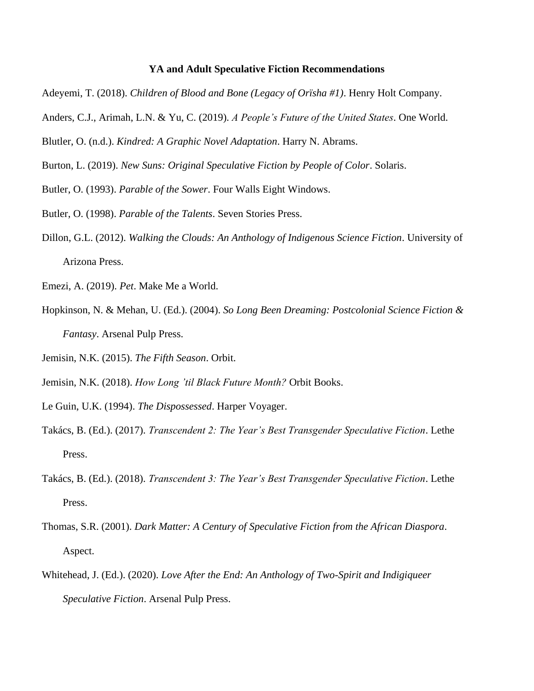## **YA and Adult Speculative Fiction Recommendations**

- Adeyemi, T. (2018). *Children of Blood and Bone (Legacy of Orïsha #1)*. Henry Holt Company.
- Anders, C.J., Arimah, L.N. & Yu, C. (2019). *A People's Future of the United States*. One World.
- Blutler, O. (n.d.). *Kindred: A Graphic Novel Adaptation*. Harry N. Abrams.
- Burton, L. (2019). *New Suns: Original Speculative Fiction by People of Color*. Solaris.
- Butler, O. (1993). *Parable of the Sower*. Four Walls Eight Windows.
- Butler, O. (1998). *Parable of the Talents*. Seven Stories Press.
- Dillon, G.L. (2012). *Walking the Clouds: An Anthology of Indigenous Science Fiction*. University of Arizona Press.
- Emezi, A. (2019). *Pet*. Make Me a World.
- Hopkinson, N. & Mehan, U. (Ed.). (2004). *So Long Been Dreaming: Postcolonial Science Fiction & Fantasy*. Arsenal Pulp Press.
- Jemisin, N.K. (2015). *The Fifth Season*. Orbit.
- Jemisin, N.K. (2018). *How Long 'til Black Future Month?* Orbit Books.
- Le Guin, U.K. (1994). *The Dispossessed*. Harper Voyager.
- Takács, B. (Ed.). (2017). *Transcendent 2: The Year's Best Transgender Speculative Fiction*. Lethe Press.
- Takács, B. (Ed.). (2018). *Transcendent 3: The Year's Best Transgender Speculative Fiction*. Lethe Press.
- Thomas, S.R. (2001). *Dark Matter: A Century of Speculative Fiction from the African Diaspora*. Aspect.
- Whitehead, J. (Ed.). (2020). *Love After the End: An Anthology of Two-Spirit and Indigiqueer Speculative Fiction*. Arsenal Pulp Press.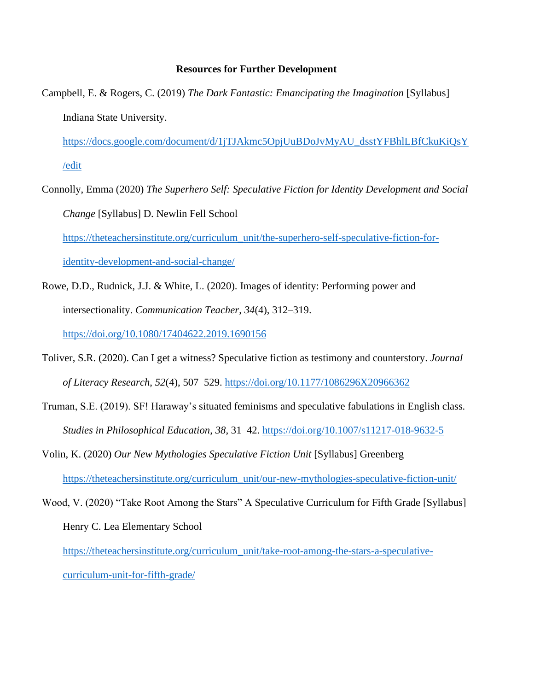#### **Resources for Further Development**

Campbell, E. & Rogers, C. (2019) *The Dark Fantastic: Emancipating the Imagination* [Syllabus] Indiana State University.

[https://docs.google.com/document/d/1jTJAkmc5OpjUuBDoJvMyAU\\_dsstYFBhlLBfCkuKiQsY](https://docs.google.com/document/d/1jTJAkmc5OpjUuBDoJvMyAU_dsstYFBhlLBfCkuKiQsY/edit) [/edit](https://docs.google.com/document/d/1jTJAkmc5OpjUuBDoJvMyAU_dsstYFBhlLBfCkuKiQsY/edit)

- Connolly, Emma (2020) *The Superhero Self: Speculative Fiction for Identity Development and Social Change* [Syllabus] D. Newlin Fell School [https://theteachersinstitute.org/curriculum\\_unit/the-superhero-self-speculative-fiction-for](https://theteachersinstitute.org/curriculum_unit/the-superhero-self-speculative-fiction-for-identity-development-and-social-change/)[identity-development-and-social-change/](https://theteachersinstitute.org/curriculum_unit/the-superhero-self-speculative-fiction-for-identity-development-and-social-change/)
- Rowe, D.D., Rudnick, J.J. & White, L. (2020). Images of identity: Performing power and intersectionality. *Communication Teacher*, *34*(4), 312–319. <https://doi.org/10.1080/17404622.2019.1690156>
- Toliver, S.R. (2020). Can I get a witness? Speculative fiction as testimony and counterstory. *Journal of Literacy Research*, *52*(4), 507–529.<https://doi.org/10.1177/1086296X20966362>
- Truman, S.E. (2019). SF! Haraway's situated feminisms and speculative fabulations in English class. *Studies in Philosophical Education*, *38*, 31–42.<https://doi.org/10.1007/s11217-018-9632-5>
- Volin, K. (2020) *Our New Mythologies Speculative Fiction Unit* [Syllabus] Greenberg [https://theteachersinstitute.org/curriculum\\_unit/our-new-mythologies-speculative-fiction-unit/](https://theteachersinstitute.org/curriculum_unit/our-new-mythologies-speculative-fiction-unit/)
- Wood, V. (2020) "Take Root Among the Stars" A Speculative Curriculum for Fifth Grade [Syllabus] Henry C. Lea Elementary School

[https://theteachersinstitute.org/curriculum\\_unit/take-root-among-the-stars-a-speculative](https://theteachersinstitute.org/curriculum_unit/take-root-among-the-stars-a-speculative-curriculum-unit-for-fifth-grade/)[curriculum-unit-for-fifth-grade/](https://theteachersinstitute.org/curriculum_unit/take-root-among-the-stars-a-speculative-curriculum-unit-for-fifth-grade/)